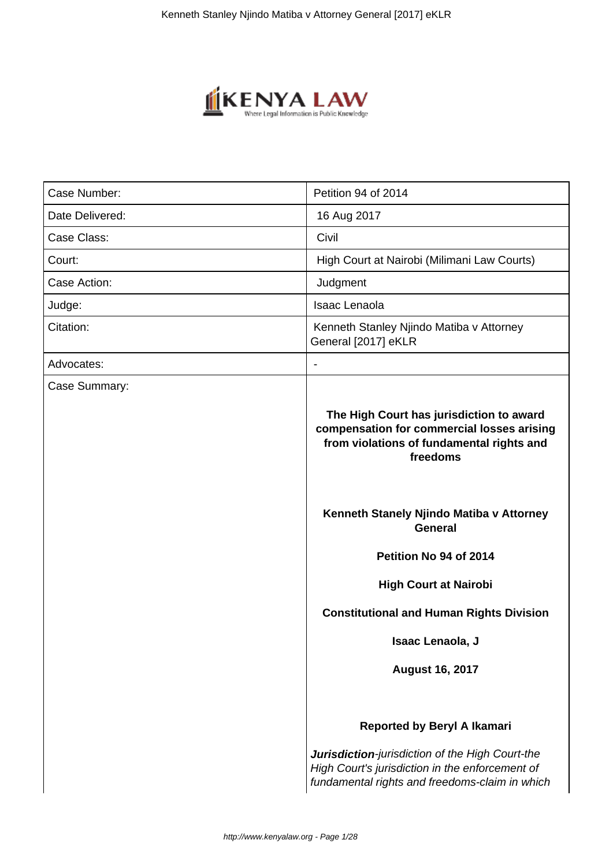

| Case Number:    | Petition 94 of 2014                                                                                                                             |
|-----------------|-------------------------------------------------------------------------------------------------------------------------------------------------|
| Date Delivered: | 16 Aug 2017                                                                                                                                     |
| Case Class:     | Civil                                                                                                                                           |
| Court:          | High Court at Nairobi (Milimani Law Courts)                                                                                                     |
| Case Action:    | Judgment                                                                                                                                        |
| Judge:          | <b>Isaac Lenaola</b>                                                                                                                            |
| Citation:       | Kenneth Stanley Njindo Matiba v Attorney<br>General [2017] eKLR                                                                                 |
| Advocates:      | $\overline{\phantom{0}}$                                                                                                                        |
| Case Summary:   | The High Court has jurisdiction to award<br>compensation for commercial losses arising<br>from violations of fundamental rights and<br>freedoms |
|                 | Kenneth Stanely Njindo Matiba v Attorney<br><b>General</b>                                                                                      |
|                 | Petition No 94 of 2014                                                                                                                          |
|                 | <b>High Court at Nairobi</b>                                                                                                                    |
|                 | <b>Constitutional and Human Rights Division</b>                                                                                                 |
|                 | Isaac Lenaola, J                                                                                                                                |
|                 | <b>August 16, 2017</b>                                                                                                                          |
|                 | <b>Reported by Beryl A Ikamari</b><br>Jurisdiction-jurisdiction of the High Court-the<br>High Court's jurisdiction in the enforcement of        |
|                 | fundamental rights and freedoms-claim in which                                                                                                  |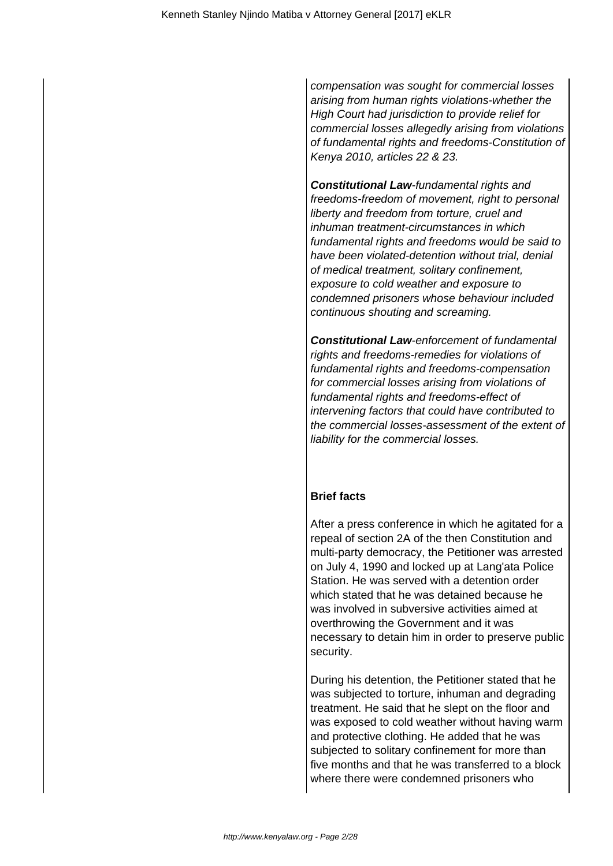compensation was sought for commercial losses arising from human rights violations-whether the High Court had jurisdiction to provide relief for commercial losses allegedly arising from violations of fundamental rights and freedoms-Constitution of Kenya 2010, articles 22 & 23.

**Constitutional Law**-fundamental rights and freedoms-freedom of movement, right to personal liberty and freedom from torture, cruel and inhuman treatment-circumstances in which fundamental rights and freedoms would be said to have been violated-detention without trial, denial of medical treatment, solitary confinement, exposure to cold weather and exposure to condemned prisoners whose behaviour included continuous shouting and screaming.

**Constitutional Law**-enforcement of fundamental rights and freedoms-remedies for violations of fundamental rights and freedoms-compensation for commercial losses arising from violations of fundamental rights and freedoms-effect of intervening factors that could have contributed to the commercial losses-assessment of the extent of liability for the commercial losses.

# **Brief facts**

After a press conference in which he agitated for a repeal of section 2A of the then Constitution and multi-party democracy, the Petitioner was arrested on July 4, 1990 and locked up at Lang'ata Police Station. He was served with a detention order which stated that he was detained because he was involved in subversive activities aimed at overthrowing the Government and it was necessary to detain him in order to preserve public security.

During his detention, the Petitioner stated that he was subjected to torture, inhuman and degrading treatment. He said that he slept on the floor and was exposed to cold weather without having warm and protective clothing. He added that he was subjected to solitary confinement for more than five months and that he was transferred to a block where there were condemned prisoners who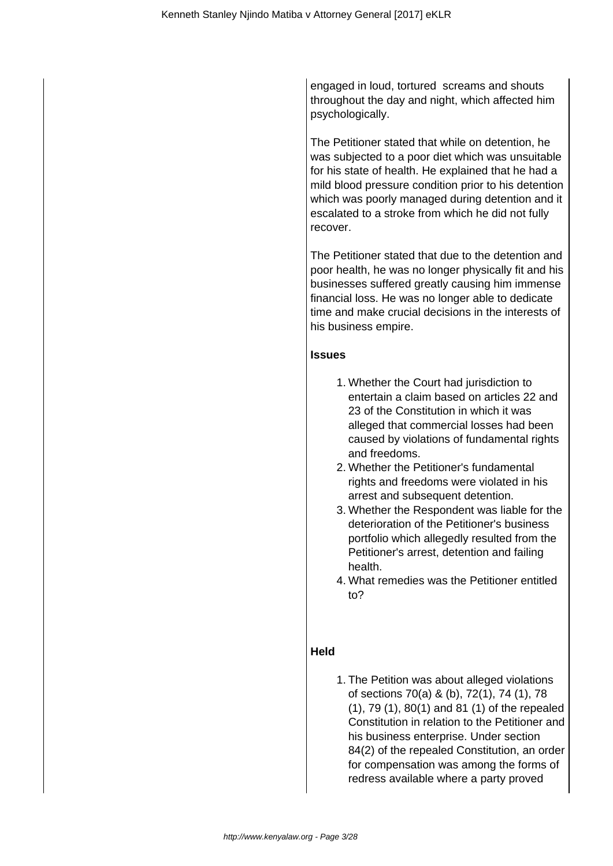engaged in loud, tortured screams and shouts throughout the day and night, which affected him psychologically.

The Petitioner stated that while on detention, he was subjected to a poor diet which was unsuitable for his state of health. He explained that he had a mild blood pressure condition prior to his detention which was poorly managed during detention and it escalated to a stroke from which he did not fully recover.

The Petitioner stated that due to the detention and poor health, he was no longer physically fit and his businesses suffered greatly causing him immense financial loss. He was no longer able to dedicate time and make crucial decisions in the interests of his business empire.

## **Issues**

- 1. Whether the Court had jurisdiction to entertain a claim based on articles 22 and 23 of the Constitution in which it was alleged that commercial losses had been caused by violations of fundamental rights and freedoms.
- 2. Whether the Petitioner's fundamental rights and freedoms were violated in his arrest and subsequent detention.
- 3. Whether the Respondent was liable for the deterioration of the Petitioner's business portfolio which allegedly resulted from the Petitioner's arrest, detention and failing health.
- 4. What remedies was the Petitioner entitled to?

# **Held**

1. The Petition was about alleged violations of sections 70(a) & (b), 72(1), 74 (1), 78 (1), 79 (1), 80(1) and 81 (1) of the repealed Constitution in relation to the Petitioner and his business enterprise. Under section 84(2) of the repealed Constitution, an order for compensation was among the forms of redress available where a party proved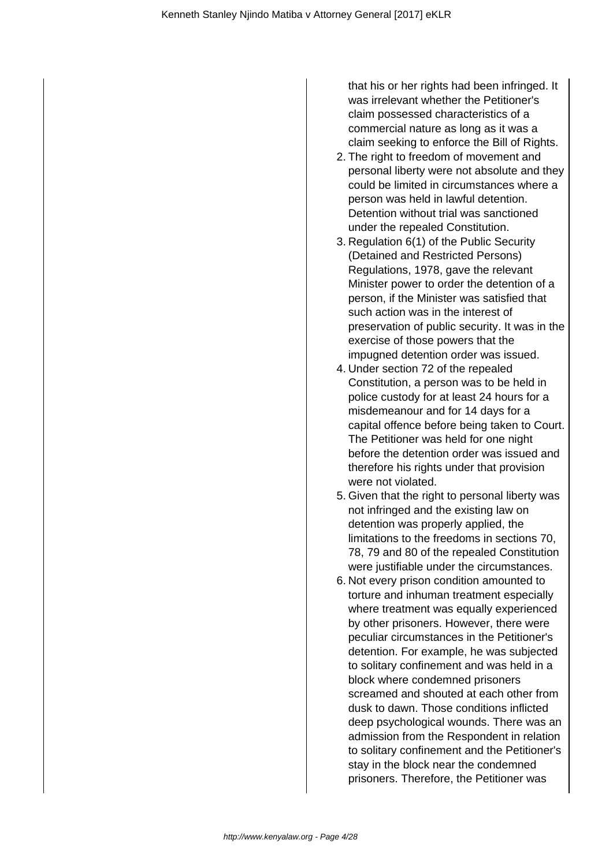that his or her rights had been infringed. It was irrelevant whether the Petitioner's claim possessed characteristics of a commercial nature as long as it was a claim seeking to enforce the Bill of Rights.

- 2. The right to freedom of movement and personal liberty were not absolute and they could be limited in circumstances where a person was held in lawful detention. Detention without trial was sanctioned under the repealed Constitution.
- 3. Regulation 6(1) of the Public Security (Detained and Restricted Persons) Regulations, 1978, gave the relevant Minister power to order the detention of a person, if the Minister was satisfied that such action was in the interest of preservation of public security. It was in the exercise of those powers that the impugned detention order was issued.
- 4. Under section 72 of the repealed Constitution, a person was to be held in police custody for at least 24 hours for a misdemeanour and for 14 days for a capital offence before being taken to Court. The Petitioner was held for one night before the detention order was issued and therefore his rights under that provision were not violated.
- 5. Given that the right to personal liberty was not infringed and the existing law on detention was properly applied, the limitations to the freedoms in sections 70, 78, 79 and 80 of the repealed Constitution were justifiable under the circumstances.
- 6. Not every prison condition amounted to torture and inhuman treatment especially where treatment was equally experienced by other prisoners. However, there were peculiar circumstances in the Petitioner's detention. For example, he was subjected to solitary confinement and was held in a block where condemned prisoners screamed and shouted at each other from dusk to dawn. Those conditions inflicted deep psychological wounds. There was an admission from the Respondent in relation to solitary confinement and the Petitioner's stay in the block near the condemned prisoners. Therefore, the Petitioner was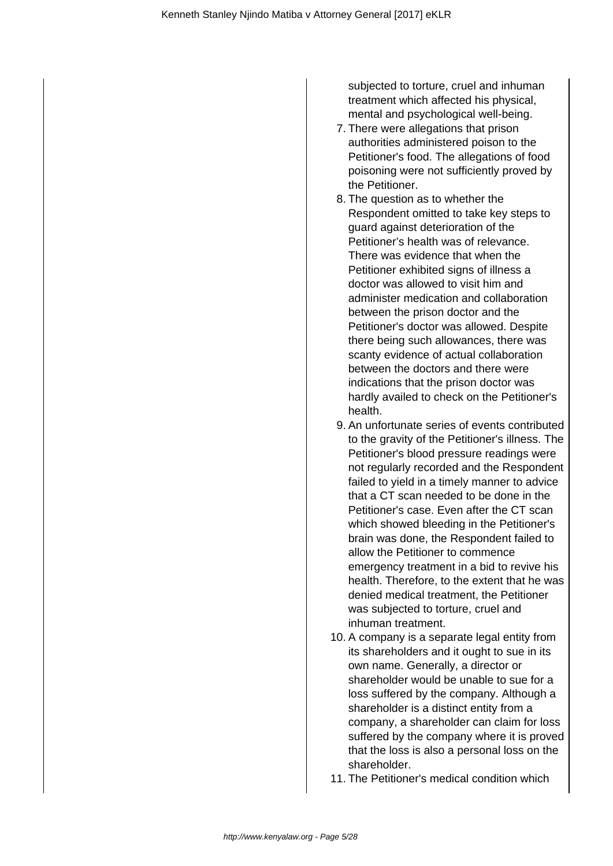subjected to torture, cruel and inhuman treatment which affected his physical, mental and psychological well-being.

- 7. There were allegations that prison authorities administered poison to the Petitioner's food. The allegations of food poisoning were not sufficiently proved by the Petitioner.
- 8. The question as to whether the Respondent omitted to take key steps to guard against deterioration of the Petitioner's health was of relevance. There was evidence that when the Petitioner exhibited signs of illness a doctor was allowed to visit him and administer medication and collaboration between the prison doctor and the Petitioner's doctor was allowed. Despite there being such allowances, there was scanty evidence of actual collaboration between the doctors and there were indications that the prison doctor was hardly availed to check on the Petitioner's health.
- 9. An unfortunate series of events contributed to the gravity of the Petitioner's illness. The Petitioner's blood pressure readings were not regularly recorded and the Respondent failed to yield in a timely manner to advice that a CT scan needed to be done in the Petitioner's case. Even after the CT scan which showed bleeding in the Petitioner's brain was done, the Respondent failed to allow the Petitioner to commence emergency treatment in a bid to revive his health. Therefore, to the extent that he was denied medical treatment, the Petitioner was subjected to torture, cruel and inhuman treatment.
- 10. A company is a separate legal entity from its shareholders and it ought to sue in its own name. Generally, a director or shareholder would be unable to sue for a loss suffered by the company. Although a shareholder is a distinct entity from a company, a shareholder can claim for loss suffered by the company where it is proved that the loss is also a personal loss on the shareholder.
- 11. The Petitioner's medical condition which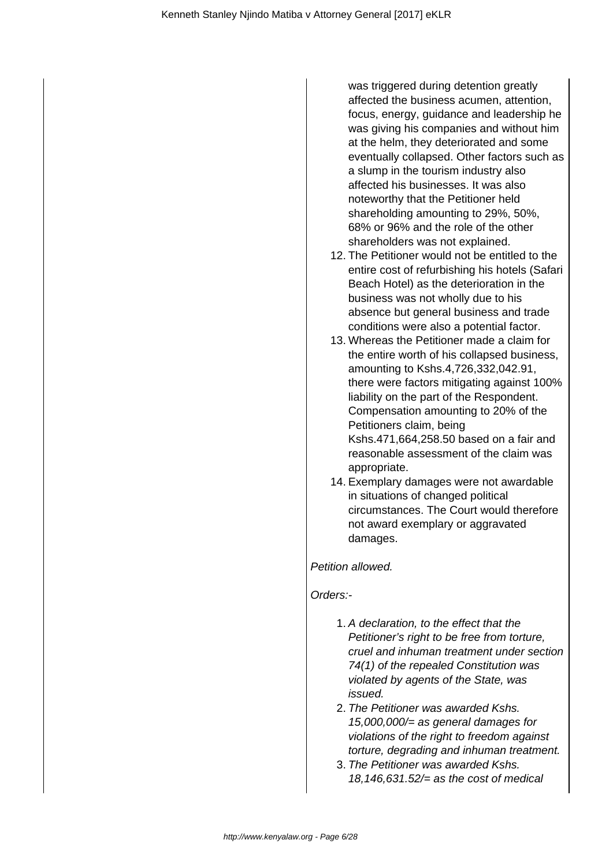was triggered during detention greatly affected the business acumen, attention, focus, energy, guidance and leadership he was giving his companies and without him at the helm, they deteriorated and some eventually collapsed. Other factors such as a slump in the tourism industry also affected his businesses. It was also noteworthy that the Petitioner held shareholding amounting to 29%, 50%, 68% or 96% and the role of the other shareholders was not explained.

- 12. The Petitioner would not be entitled to the entire cost of refurbishing his hotels (Safari Beach Hotel) as the deterioration in the business was not wholly due to his absence but general business and trade conditions were also a potential factor.
- 13. Whereas the Petitioner made a claim for the entire worth of his collapsed business, amounting to Kshs.4,726,332,042.91, there were factors mitigating against 100% liability on the part of the Respondent. Compensation amounting to 20% of the Petitioners claim, being Kshs.471,664,258.50 based on a fair and reasonable assessment of the claim was appropriate.
- 14. Exemplary damages were not awardable in situations of changed political circumstances. The Court would therefore not award exemplary or aggravated damages.

#### Petition allowed.

#### Orders:-

- 1. A declaration, to the effect that the Petitioner's right to be free from torture. cruel and inhuman treatment under section 74(1) of the repealed Constitution was violated by agents of the State, was issued.
- 2. The Petitioner was awarded Kshs. 15,000,000/= as general damages for violations of the right to freedom against torture, degrading and inhuman treatment.
- 3. The Petitioner was awarded Kshs. 18,146,631.52/= as the cost of medical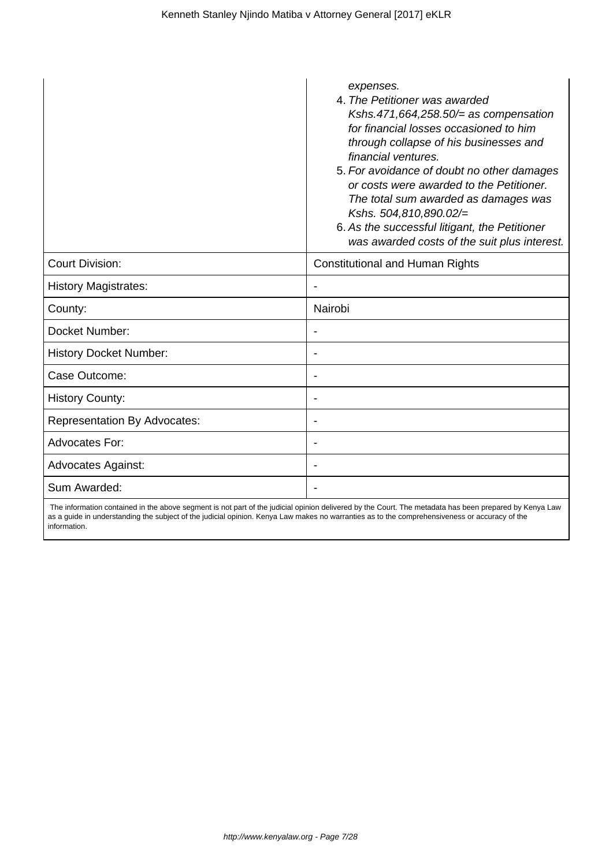|                                     | expenses.<br>4. The Petitioner was awarded<br>Kshs.471,664,258.50 $/=$ as compensation<br>for financial losses occasioned to him<br>through collapse of his businesses and<br>financial ventures.<br>5. For avoidance of doubt no other damages<br>or costs were awarded to the Petitioner.<br>The total sum awarded as damages was<br>Kshs. 504,810,890.02/=<br>6. As the successful litigant, the Petitioner<br>was awarded costs of the suit plus interest. |
|-------------------------------------|----------------------------------------------------------------------------------------------------------------------------------------------------------------------------------------------------------------------------------------------------------------------------------------------------------------------------------------------------------------------------------------------------------------------------------------------------------------|
| <b>Court Division:</b>              | <b>Constitutional and Human Rights</b>                                                                                                                                                                                                                                                                                                                                                                                                                         |
| <b>History Magistrates:</b>         |                                                                                                                                                                                                                                                                                                                                                                                                                                                                |
| County:                             | Nairobi                                                                                                                                                                                                                                                                                                                                                                                                                                                        |
| Docket Number:                      |                                                                                                                                                                                                                                                                                                                                                                                                                                                                |
| <b>History Docket Number:</b>       | ۰                                                                                                                                                                                                                                                                                                                                                                                                                                                              |
| Case Outcome:                       | ۰                                                                                                                                                                                                                                                                                                                                                                                                                                                              |
| <b>History County:</b>              | ۰                                                                                                                                                                                                                                                                                                                                                                                                                                                              |
| <b>Representation By Advocates:</b> | ۰                                                                                                                                                                                                                                                                                                                                                                                                                                                              |
| <b>Advocates For:</b>               | ۰                                                                                                                                                                                                                                                                                                                                                                                                                                                              |
| <b>Advocates Against:</b>           |                                                                                                                                                                                                                                                                                                                                                                                                                                                                |
| Sum Awarded:                        |                                                                                                                                                                                                                                                                                                                                                                                                                                                                |

 The information contained in the above segment is not part of the judicial opinion delivered by the Court. The metadata has been prepared by Kenya Law as a guide in understanding the subject of the judicial opinion. Kenya Law makes no warranties as to the comprehensiveness or accuracy of the information.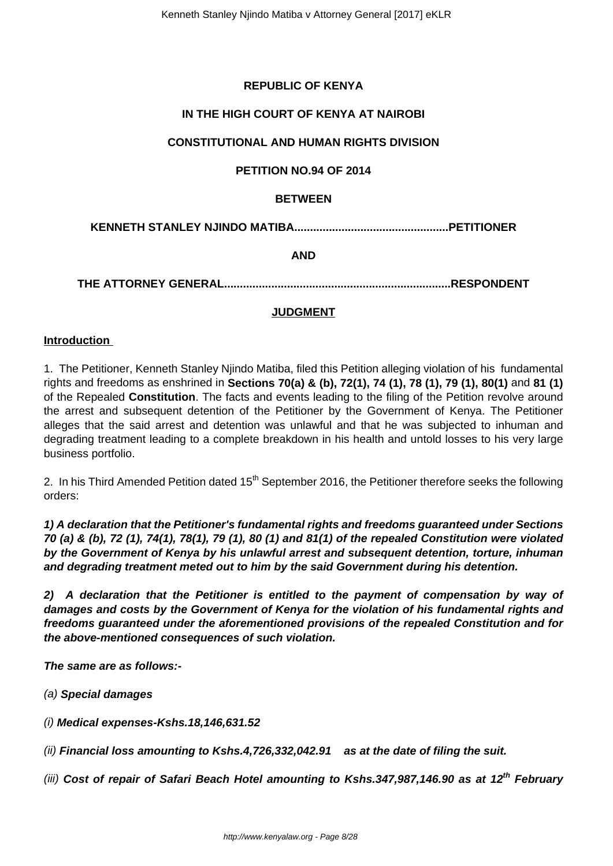### **REPUBLIC OF KENYA**

### **IN THE HIGH COURT OF KENYA AT NAIROBI**

### **CONSTITUTIONAL AND HUMAN RIGHTS DIVISION**

#### **PETITION NO.94 OF 2014**

#### **BETWEEN**

**KENNETH STANLEY NJINDO MATIBA.................................................PETITIONER**

**AND**

**THE ATTORNEY GENERAL........................................................................RESPONDENT**

#### **JUDGMENT**

#### **Introduction**

1. The Petitioner, Kenneth Stanley Njindo Matiba, filed this Petition alleging violation of his fundamental rights and freedoms as enshrined in **Sections 70(a) & (b), 72(1), 74 (1), 78 (1), 79 (1), 80(1)** and **81 (1)** of the Repealed **Constitution**. The facts and events leading to the filing of the Petition revolve around the arrest and subsequent detention of the Petitioner by the Government of Kenya. The Petitioner alleges that the said arrest and detention was unlawful and that he was subjected to inhuman and degrading treatment leading to a complete breakdown in his health and untold losses to his very large business portfolio.

2. In his Third Amended Petition dated 15<sup>th</sup> September 2016, the Petitioner therefore seeks the following orders:

**1) A declaration that the Petitioner's fundamental rights and freedoms guaranteed under Sections 70 (a) & (b), 72 (1), 74(1), 78(1), 79 (1), 80 (1) and 81(1) of the repealed Constitution were violated by the Government of Kenya by his unlawful arrest and subsequent detention, torture, inhuman and degrading treatment meted out to him by the said Government during his detention.**

**2) A declaration that the Petitioner is entitled to the payment of compensation by way of damages and costs by the Government of Kenya for the violation of his fundamental rights and freedoms guaranteed under the aforementioned provisions of the repealed Constitution and for the above-mentioned consequences of such violation.**

**The same are as follows:-**

(a) **Special damages**

(i) **Medical expenses-Kshs.18,146,631.52**

(ii) **Financial loss amounting to Kshs.4,726,332,042.91 as at the date of filing the suit.**

(iii) **Cost of repair of Safari Beach Hotel amounting to Kshs.347,987,146.90 as at 12th February**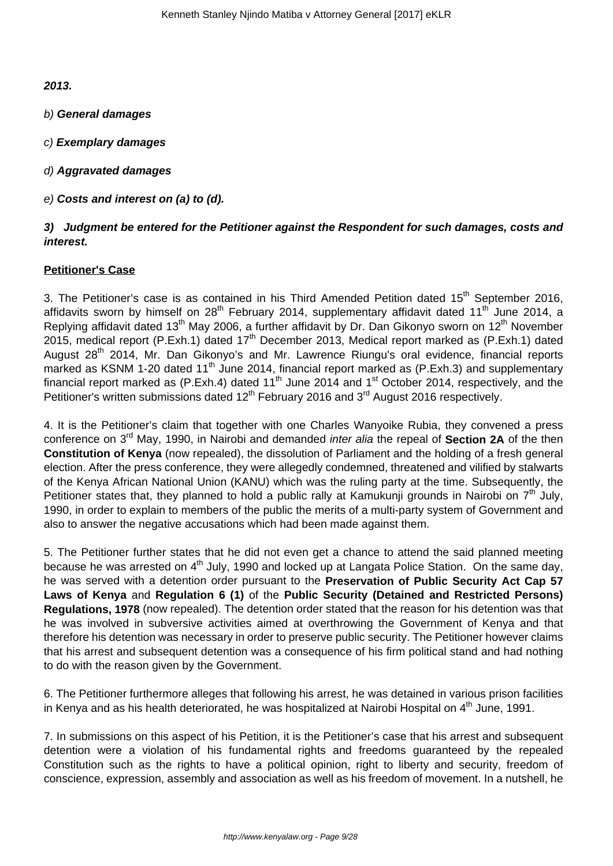### **2013.**

- b) **General damages**
- c) **Exemplary damages**
- d) **Aggravated damages**
- e) **Costs and interest on (a) to (d).**

## **3) Judgment be entered for the Petitioner against the Respondent for such damages, costs and interest.**

## **Petitioner's Case**

3. The Petitioner's case is as contained in his Third Amended Petition dated 15<sup>th</sup> September 2016, affidavits sworn by himself on 28<sup>th</sup> February 2014, supplementary affidavit dated 11<sup>th</sup> June 2014, a Replying affidavit dated 13<sup>th</sup> May 2006, a further affidavit by Dr. Dan Gikonyo sworn on 12<sup>th</sup> November 2015, medical report (P.Exh.1) dated  $17<sup>th</sup>$  December 2013, Medical report marked as (P.Exh.1) dated August 28<sup>th</sup> 2014, Mr. Dan Gikonyo's and Mr. Lawrence Riungu's oral evidence, financial reports marked as KSNM 1-20 dated 11<sup>th</sup> June 2014, financial report marked as (P.Exh.3) and supplementary financial report marked as (P.Exh.4) dated 11<sup>th</sup> June 2014 and 1<sup>st</sup> October 2014, respectively, and the Petitioner's written submissions dated  $12<sup>th</sup>$  February 2016 and  $3<sup>rd</sup>$  August 2016 respectively.

4. It is the Petitioner's claim that together with one Charles Wanyoike Rubia, they convened a press conference on 3<sup>rd</sup> May, 1990, in Nairobi and demanded *inter alia* the repeal of Section 2A of the then **Constitution of Kenya** (now repealed), the dissolution of Parliament and the holding of a fresh general election. After the press conference, they were allegedly condemned, threatened and vilified by stalwarts of the Kenya African National Union (KANU) which was the ruling party at the time. Subsequently, the Petitioner states that, they planned to hold a public rally at Kamukunji grounds in Nairobi on  $7<sup>th</sup>$  July, 1990, in order to explain to members of the public the merits of a multi-party system of Government and also to answer the negative accusations which had been made against them.

5. The Petitioner further states that he did not even get a chance to attend the said planned meeting because he was arrested on  $4<sup>th</sup>$  July, 1990 and locked up at Langata Police Station. On the same day, he was served with a detention order pursuant to the **Preservation of Public Security Act Cap 57 Laws of Kenya** and **Regulation 6 (1)** of the **Public Security (Detained and Restricted Persons) Regulations, 1978** (now repealed). The detention order stated that the reason for his detention was that he was involved in subversive activities aimed at overthrowing the Government of Kenya and that therefore his detention was necessary in order to preserve public security. The Petitioner however claims that his arrest and subsequent detention was a consequence of his firm political stand and had nothing to do with the reason given by the Government.

6. The Petitioner furthermore alleges that following his arrest, he was detained in various prison facilities in Kenya and as his health deteriorated, he was hospitalized at Nairobi Hospital on  $4<sup>th</sup>$  June, 1991.

7. In submissions on this aspect of his Petition, it is the Petitioner's case that his arrest and subsequent detention were a violation of his fundamental rights and freedoms guaranteed by the repealed Constitution such as the rights to have a political opinion, right to liberty and security, freedom of conscience, expression, assembly and association as well as his freedom of movement. In a nutshell, he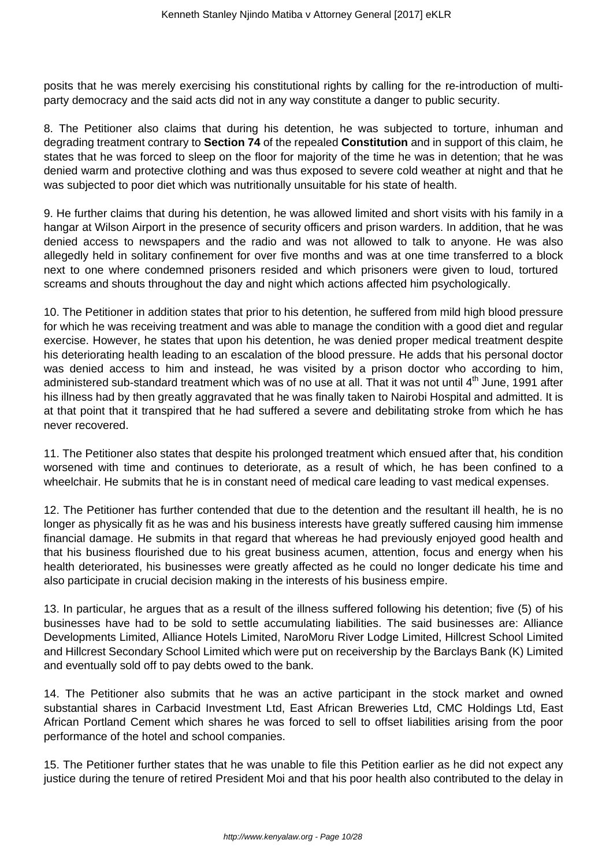posits that he was merely exercising his constitutional rights by calling for the re-introduction of multiparty democracy and the said acts did not in any way constitute a danger to public security.

8. The Petitioner also claims that during his detention, he was subjected to torture, inhuman and degrading treatment contrary to **Section 74** of the repealed **Constitution** and in support of this claim, he states that he was forced to sleep on the floor for majority of the time he was in detention; that he was denied warm and protective clothing and was thus exposed to severe cold weather at night and that he was subjected to poor diet which was nutritionally unsuitable for his state of health.

9. He further claims that during his detention, he was allowed limited and short visits with his family in a hangar at Wilson Airport in the presence of security officers and prison warders. In addition, that he was denied access to newspapers and the radio and was not allowed to talk to anyone. He was also allegedly held in solitary confinement for over five months and was at one time transferred to a block next to one where condemned prisoners resided and which prisoners were given to loud, tortured screams and shouts throughout the day and night which actions affected him psychologically.

10. The Petitioner in addition states that prior to his detention, he suffered from mild high blood pressure for which he was receiving treatment and was able to manage the condition with a good diet and regular exercise. However, he states that upon his detention, he was denied proper medical treatment despite his deteriorating health leading to an escalation of the blood pressure. He adds that his personal doctor was denied access to him and instead, he was visited by a prison doctor who according to him, administered sub-standard treatment which was of no use at all. That it was not until 4<sup>th</sup> June, 1991 after his illness had by then greatly aggravated that he was finally taken to Nairobi Hospital and admitted. It is at that point that it transpired that he had suffered a severe and debilitating stroke from which he has never recovered.

11. The Petitioner also states that despite his prolonged treatment which ensued after that, his condition worsened with time and continues to deteriorate, as a result of which, he has been confined to a wheelchair. He submits that he is in constant need of medical care leading to vast medical expenses.

12. The Petitioner has further contended that due to the detention and the resultant ill health, he is no longer as physically fit as he was and his business interests have greatly suffered causing him immense financial damage. He submits in that regard that whereas he had previously enjoyed good health and that his business flourished due to his great business acumen, attention, focus and energy when his health deteriorated, his businesses were greatly affected as he could no longer dedicate his time and also participate in crucial decision making in the interests of his business empire.

13. In particular, he argues that as a result of the illness suffered following his detention; five (5) of his businesses have had to be sold to settle accumulating liabilities. The said businesses are: Alliance Developments Limited, Alliance Hotels Limited, NaroMoru River Lodge Limited, Hillcrest School Limited and Hillcrest Secondary School Limited which were put on receivership by the Barclays Bank (K) Limited and eventually sold off to pay debts owed to the bank.

14. The Petitioner also submits that he was an active participant in the stock market and owned substantial shares in Carbacid Investment Ltd, East African Breweries Ltd, CMC Holdings Ltd, East African Portland Cement which shares he was forced to sell to offset liabilities arising from the poor performance of the hotel and school companies.

15. The Petitioner further states that he was unable to file this Petition earlier as he did not expect any justice during the tenure of retired President Moi and that his poor health also contributed to the delay in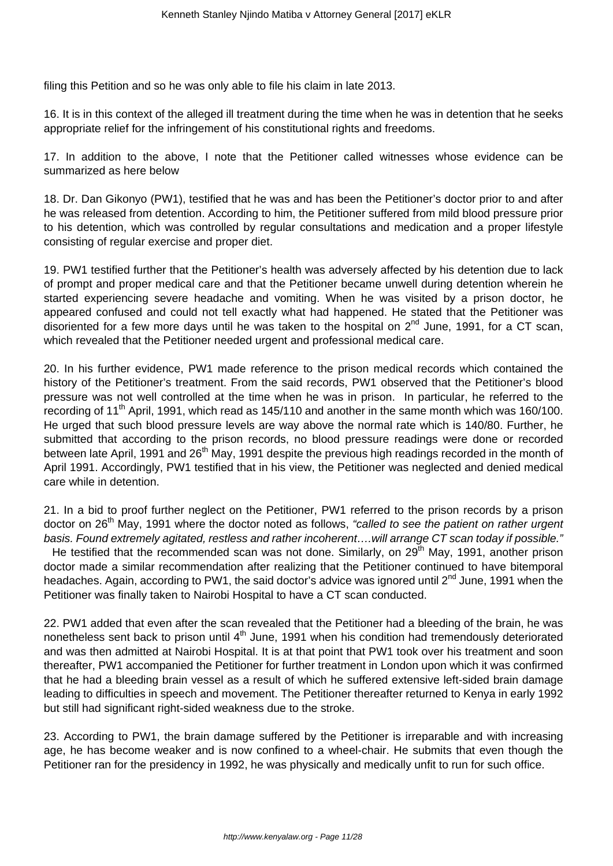filing this Petition and so he was only able to file his claim in late 2013.

16. It is in this context of the alleged ill treatment during the time when he was in detention that he seeks appropriate relief for the infringement of his constitutional rights and freedoms.

17. In addition to the above, I note that the Petitioner called witnesses whose evidence can be summarized as here below

18. Dr. Dan Gikonyo (PW1), testified that he was and has been the Petitioner's doctor prior to and after he was released from detention. According to him, the Petitioner suffered from mild blood pressure prior to his detention, which was controlled by regular consultations and medication and a proper lifestyle consisting of regular exercise and proper diet.

19. PW1 testified further that the Petitioner's health was adversely affected by his detention due to lack of prompt and proper medical care and that the Petitioner became unwell during detention wherein he started experiencing severe headache and vomiting. When he was visited by a prison doctor, he appeared confused and could not tell exactly what had happened. He stated that the Petitioner was disoriented for a few more days until he was taken to the hospital on  $2^{nd}$  June, 1991, for a CT scan, which revealed that the Petitioner needed urgent and professional medical care.

20. In his further evidence, PW1 made reference to the prison medical records which contained the history of the Petitioner's treatment. From the said records, PW1 observed that the Petitioner's blood pressure was not well controlled at the time when he was in prison. In particular, he referred to the recording of 11<sup>th</sup> April, 1991, which read as 145/110 and another in the same month which was 160/100. He urged that such blood pressure levels are way above the normal rate which is 140/80. Further, he submitted that according to the prison records, no blood pressure readings were done or recorded between late April, 1991 and 26<sup>th</sup> May, 1991 despite the previous high readings recorded in the month of April 1991. Accordingly, PW1 testified that in his view, the Petitioner was neglected and denied medical care while in detention.

21. In a bid to proof further neglect on the Petitioner, PW1 referred to the prison records by a prison doctor on 26<sup>th</sup> May, 1991 where the doctor noted as follows, "called to see the patient on rather urgent basis. Found extremely agitated, restless and rather incoherent...will arrange CT scan today if possible." He testified that the recommended scan was not done. Similarly, on 29<sup>th</sup> May, 1991, another prison doctor made a similar recommendation after realizing that the Petitioner continued to have bitemporal headaches. Again, according to PW1, the said doctor's advice was ignored until 2<sup>nd</sup> June, 1991 when the

Petitioner was finally taken to Nairobi Hospital to have a CT scan conducted.

22. PW1 added that even after the scan revealed that the Petitioner had a bleeding of the brain, he was nonetheless sent back to prison until 4<sup>th</sup> June, 1991 when his condition had tremendously deteriorated and was then admitted at Nairobi Hospital. It is at that point that PW1 took over his treatment and soon thereafter, PW1 accompanied the Petitioner for further treatment in London upon which it was confirmed that he had a bleeding brain vessel as a result of which he suffered extensive left-sided brain damage leading to difficulties in speech and movement. The Petitioner thereafter returned to Kenya in early 1992 but still had significant right-sided weakness due to the stroke.

23. According to PW1, the brain damage suffered by the Petitioner is irreparable and with increasing age, he has become weaker and is now confined to a wheel-chair. He submits that even though the Petitioner ran for the presidency in 1992, he was physically and medically unfit to run for such office.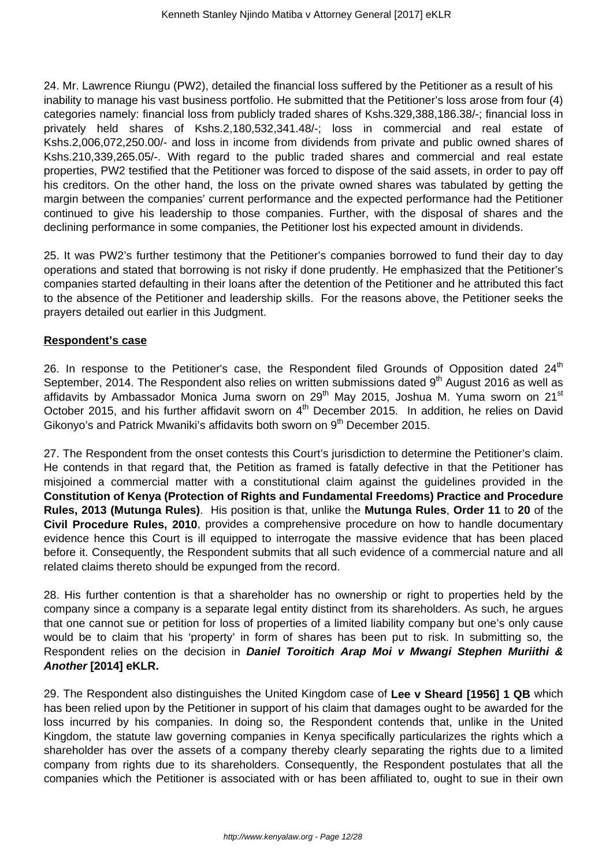24. Mr. Lawrence Riungu (PW2), detailed the financial loss suffered by the Petitioner as a result of his inability to manage his vast business portfolio. He submitted that the Petitioner's loss arose from four (4) categories namely: financial loss from publicly traded shares of Kshs.329,388,186.38/-; financial loss in privately held shares of Kshs.2,180,532,341.48/-; loss in commercial and real estate of Kshs.2,006,072,250.00/- and loss in income from dividends from private and public owned shares of Kshs.210,339,265.05/-. With regard to the public traded shares and commercial and real estate properties, PW2 testified that the Petitioner was forced to dispose of the said assets, in order to pay off his creditors. On the other hand, the loss on the private owned shares was tabulated by getting the margin between the companies' current performance and the expected performance had the Petitioner continued to give his leadership to those companies. Further, with the disposal of shares and the declining performance in some companies, the Petitioner lost his expected amount in dividends.

25. It was PW2's further testimony that the Petitioner's companies borrowed to fund their day to day operations and stated that borrowing is not risky if done prudently. He emphasized that the Petitioner's companies started defaulting in their loans after the detention of the Petitioner and he attributed this fact to the absence of the Petitioner and leadership skills. For the reasons above, the Petitioner seeks the prayers detailed out earlier in this Judgment.

### **Respondent's case**

26. In response to the Petitioner's case, the Respondent filed Grounds of Opposition dated  $24<sup>th</sup>$ September, 2014. The Respondent also relies on written submissions dated  $9<sup>th</sup>$  August 2016 as well as affidavits by Ambassador Monica Juma sworn on 29<sup>th</sup> May 2015, Joshua M. Yuma sworn on 21<sup>st</sup> October 2015, and his further affidavit sworn on 4<sup>th</sup> December 2015. In addition, he relies on David Gikonyo's and Patrick Mwaniki's affidavits both sworn on 9<sup>th</sup> December 2015.

27. The Respondent from the onset contests this Court's jurisdiction to determine the Petitioner's claim. He contends in that regard that, the Petition as framed is fatally defective in that the Petitioner has misjoined a commercial matter with a constitutional claim against the guidelines provided in the **Constitution of Kenya (Protection of Rights and Fundamental Freedoms) Practice and Procedure Rules, 2013 (Mutunga Rules)**. His position is that, unlike the **Mutunga Rules**, **Order 11** to **20** of the **Civil Procedure Rules, 2010**, provides a comprehensive procedure on how to handle documentary evidence hence this Court is ill equipped to interrogate the massive evidence that has been placed before it. Consequently, the Respondent submits that all such evidence of a commercial nature and all related claims thereto should be expunged from the record.

28. His further contention is that a shareholder has no ownership or right to properties held by the company since a company is a separate legal entity distinct from its shareholders. As such, he argues that one cannot sue or petition for loss of properties of a limited liability company but one's only cause would be to claim that his 'property' in form of shares has been put to risk. In submitting so, the Respondent relies on the decision in **Daniel Toroitich Arap Moi v Mwangi Stephen Muriithi & Another [2014] eKLR.**

29. The Respondent also distinguishes the United Kingdom case of **Lee v Sheard [1956] 1 QB** which has been relied upon by the Petitioner in support of his claim that damages ought to be awarded for the loss incurred by his companies. In doing so, the Respondent contends that, unlike in the United Kingdom, the statute law governing companies in Kenya specifically particularizes the rights which a shareholder has over the assets of a company thereby clearly separating the rights due to a limited company from rights due to its shareholders. Consequently, the Respondent postulates that all the companies which the Petitioner is associated with or has been affiliated to, ought to sue in their own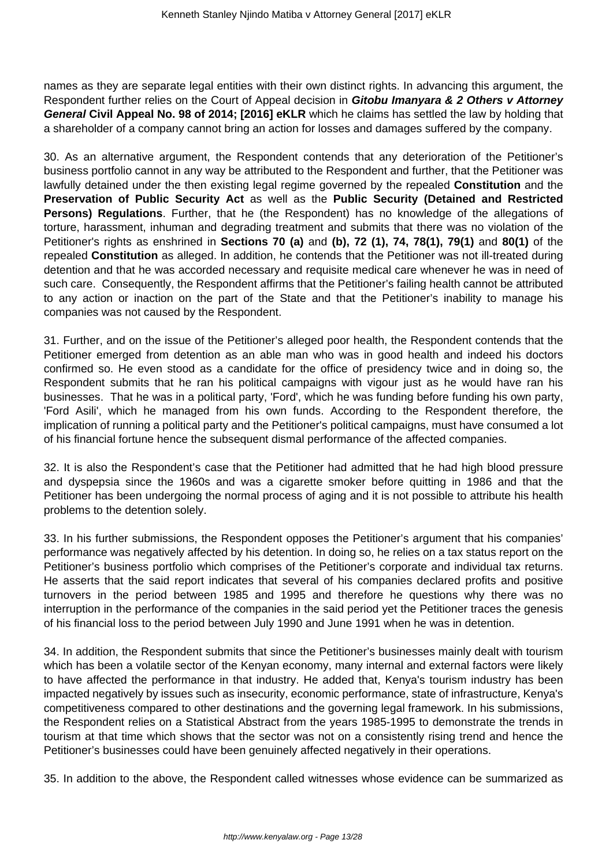names as they are separate legal entities with their own distinct rights. In advancing this argument, the Respondent further relies on the Court of Appeal decision in **Gitobu Imanyara & 2 Others v Attorney General Civil Appeal No. 98 of 2014; [2016] eKLR** which he claims has settled the law by holding that a shareholder of a company cannot bring an action for losses and damages suffered by the company.

30. As an alternative argument, the Respondent contends that any deterioration of the Petitioner's business portfolio cannot in any way be attributed to the Respondent and further, that the Petitioner was lawfully detained under the then existing legal regime governed by the repealed **Constitution** and the **Preservation of Public Security Act** as well as the **Public Security (Detained and Restricted Persons) Regulations**. Further, that he (the Respondent) has no knowledge of the allegations of torture, harassment, inhuman and degrading treatment and submits that there was no violation of the Petitioner's rights as enshrined in **Sections 70 (a)** and **(b), 72 (1), 74, 78(1), 79(1)** and **80(1)** of the repealed **Constitution** as alleged. In addition, he contends that the Petitioner was not ill-treated during detention and that he was accorded necessary and requisite medical care whenever he was in need of such care. Consequently, the Respondent affirms that the Petitioner's failing health cannot be attributed to any action or inaction on the part of the State and that the Petitioner's inability to manage his companies was not caused by the Respondent.

31. Further, and on the issue of the Petitioner's alleged poor health, the Respondent contends that the Petitioner emerged from detention as an able man who was in good health and indeed his doctors confirmed so. He even stood as a candidate for the office of presidency twice and in doing so, the Respondent submits that he ran his political campaigns with vigour just as he would have ran his businesses. That he was in a political party, 'Ford', which he was funding before funding his own party, 'Ford Asili', which he managed from his own funds. According to the Respondent therefore, the implication of running a political party and the Petitioner's political campaigns, must have consumed a lot of his financial fortune hence the subsequent dismal performance of the affected companies.

32. It is also the Respondent's case that the Petitioner had admitted that he had high blood pressure and dyspepsia since the 1960s and was a cigarette smoker before quitting in 1986 and that the Petitioner has been undergoing the normal process of aging and it is not possible to attribute his health problems to the detention solely.

33. In his further submissions, the Respondent opposes the Petitioner's argument that his companies' performance was negatively affected by his detention. In doing so, he relies on a tax status report on the Petitioner's business portfolio which comprises of the Petitioner's corporate and individual tax returns. He asserts that the said report indicates that several of his companies declared profits and positive turnovers in the period between 1985 and 1995 and therefore he questions why there was no interruption in the performance of the companies in the said period yet the Petitioner traces the genesis of his financial loss to the period between July 1990 and June 1991 when he was in detention.

34. In addition, the Respondent submits that since the Petitioner's businesses mainly dealt with tourism which has been a volatile sector of the Kenyan economy, many internal and external factors were likely to have affected the performance in that industry. He added that, Kenya's tourism industry has been impacted negatively by issues such as insecurity, economic performance, state of infrastructure, Kenya's competitiveness compared to other destinations and the governing legal framework. In his submissions, the Respondent relies on a Statistical Abstract from the years 1985-1995 to demonstrate the trends in tourism at that time which shows that the sector was not on a consistently rising trend and hence the Petitioner's businesses could have been genuinely affected negatively in their operations.

35. In addition to the above, the Respondent called witnesses whose evidence can be summarized as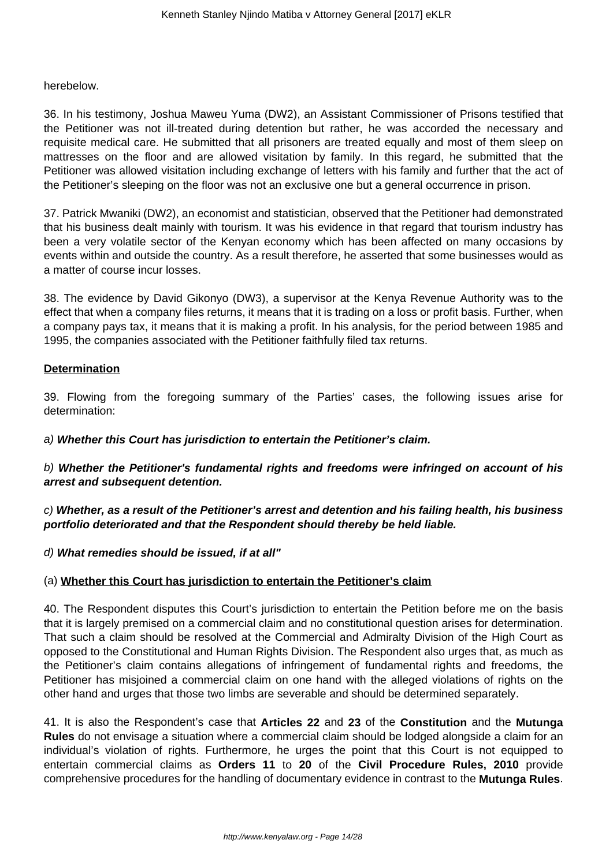#### herebelow.

36. In his testimony, Joshua Maweu Yuma (DW2), an Assistant Commissioner of Prisons testified that the Petitioner was not ill-treated during detention but rather, he was accorded the necessary and requisite medical care. He submitted that all prisoners are treated equally and most of them sleep on mattresses on the floor and are allowed visitation by family. In this regard, he submitted that the Petitioner was allowed visitation including exchange of letters with his family and further that the act of the Petitioner's sleeping on the floor was not an exclusive one but a general occurrence in prison.

37. Patrick Mwaniki (DW2), an economist and statistician, observed that the Petitioner had demonstrated that his business dealt mainly with tourism. It was his evidence in that regard that tourism industry has been a very volatile sector of the Kenyan economy which has been affected on many occasions by events within and outside the country. As a result therefore, he asserted that some businesses would as a matter of course incur losses.

38. The evidence by David Gikonyo (DW3), a supervisor at the Kenya Revenue Authority was to the effect that when a company files returns, it means that it is trading on a loss or profit basis. Further, when a company pays tax, it means that it is making a profit. In his analysis, for the period between 1985 and 1995, the companies associated with the Petitioner faithfully filed tax returns.

#### **Determination**

39. Flowing from the foregoing summary of the Parties' cases, the following issues arise for determination:

### a) **Whether this Court has jurisdiction to entertain the Petitioner's claim.**

## b) **Whether the Petitioner's fundamental rights and freedoms were infringed on account of his arrest and subsequent detention.**

## c) **Whether, as a result of the Petitioner's arrest and detention and his failing health, his business portfolio deteriorated and that the Respondent should thereby be held liable.**

### d) **What remedies should be issued, if at all"**

#### (a) **Whether this Court has jurisdiction to entertain the Petitioner's claim**

40. The Respondent disputes this Court's jurisdiction to entertain the Petition before me on the basis that it is largely premised on a commercial claim and no constitutional question arises for determination. That such a claim should be resolved at the Commercial and Admiralty Division of the High Court as opposed to the Constitutional and Human Rights Division. The Respondent also urges that, as much as the Petitioner's claim contains allegations of infringement of fundamental rights and freedoms, the Petitioner has misjoined a commercial claim on one hand with the alleged violations of rights on the other hand and urges that those two limbs are severable and should be determined separately.

41. It is also the Respondent's case that **Articles 22** and **23** of the **Constitution** and the **Mutunga Rules** do not envisage a situation where a commercial claim should be lodged alongside a claim for an individual's violation of rights. Furthermore, he urges the point that this Court is not equipped to entertain commercial claims as **Orders 11** to **20** of the **Civil Procedure Rules, 2010** provide comprehensive procedures for the handling of documentary evidence in contrast to the **Mutunga Rules**.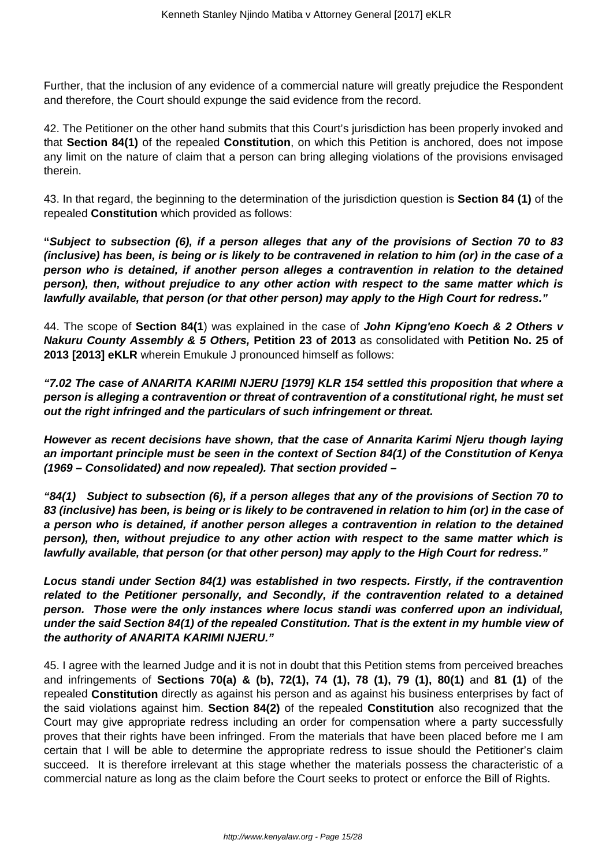Further, that the inclusion of any evidence of a commercial nature will greatly prejudice the Respondent and therefore, the Court should expunge the said evidence from the record.

42. The Petitioner on the other hand submits that this Court's jurisdiction has been properly invoked and that **Section 84(1)** of the repealed **Constitution**, on which this Petition is anchored, does not impose any limit on the nature of claim that a person can bring alleging violations of the provisions envisaged therein.

43. In that regard, the beginning to the determination of the jurisdiction question is **Section 84 (1)** of the repealed **Constitution** which provided as follows:

**"Subject to subsection (6), if a person alleges that any of the provisions of Section 70 to 83 (inclusive) has been, is being or is likely to be contravened in relation to him (or) in the case of a person who is detained, if another person alleges a contravention in relation to the detained person), then, without prejudice to any other action with respect to the same matter which is lawfully available, that person (or that other person) may apply to the High Court for redress."**

44. The scope of **Section 84(1**) was explained in the case of **John Kipng'eno Koech & 2 Others v Nakuru County Assembly & 5 Others, Petition 23 of 2013** as consolidated with **Petition No. 25 of 2013 [2013] eKLR** wherein Emukule J pronounced himself as follows:

**"7.02 The case of ANARITA KARIMI NJERU [1979] KLR 154 settled this proposition that where a person is alleging a contravention or threat of contravention of a constitutional right, he must set out the right infringed and the particulars of such infringement or threat.**

**However as recent decisions have shown, that the case of Annarita Karimi Njeru though laying an important principle must be seen in the context of Section 84(1) of the Constitution of Kenya (1969 – Consolidated) and now repealed). That section provided –**

**"84(1) Subject to subsection (6), if a person alleges that any of the provisions of Section 70 to 83 (inclusive) has been, is being or is likely to be contravened in relation to him (or) in the case of a person who is detained, if another person alleges a contravention in relation to the detained person), then, without prejudice to any other action with respect to the same matter which is lawfully available, that person (or that other person) may apply to the High Court for redress."**

**Locus standi under Section 84(1) was established in two respects. Firstly, if the contravention related to the Petitioner personally, and Secondly, if the contravention related to a detained person. Those were the only instances where locus standi was conferred upon an individual, under the said Section 84(1) of the repealed Constitution. That is the extent in my humble view of the authority of ANARITA KARIMI NJERU."**

45. I agree with the learned Judge and it is not in doubt that this Petition stems from perceived breaches and infringements of **Sections 70(a) & (b), 72(1), 74 (1), 78 (1), 79 (1), 80(1)** and **81 (1)** of the repealed **Constitution** directly as against his person and as against his business enterprises by fact of the said violations against him. **Section 84(2)** of the repealed **Constitution** also recognized that the Court may give appropriate redress including an order for compensation where a party successfully proves that their rights have been infringed. From the materials that have been placed before me I am certain that I will be able to determine the appropriate redress to issue should the Petitioner's claim succeed. It is therefore irrelevant at this stage whether the materials possess the characteristic of a commercial nature as long as the claim before the Court seeks to protect or enforce the Bill of Rights.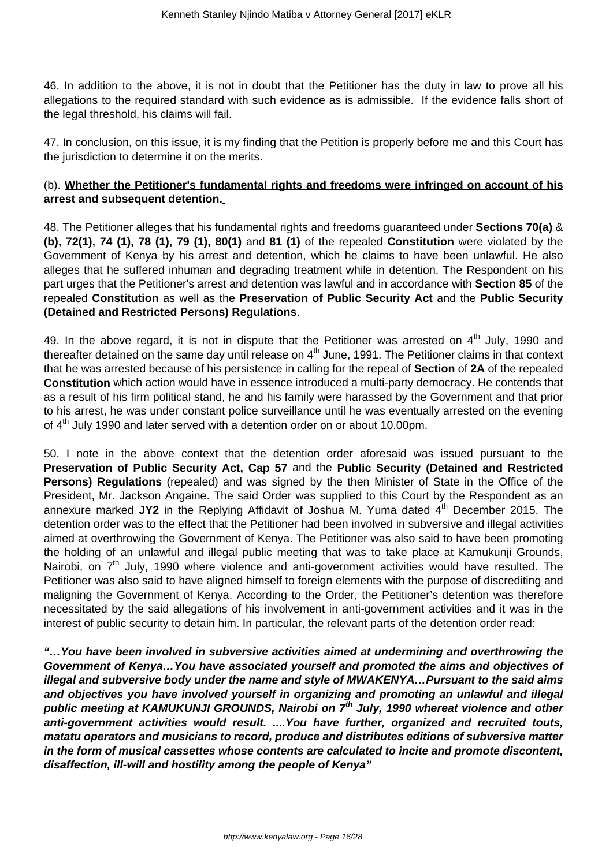46. In addition to the above, it is not in doubt that the Petitioner has the duty in law to prove all his allegations to the required standard with such evidence as is admissible. If the evidence falls short of the legal threshold, his claims will fail.

47. In conclusion, on this issue, it is my finding that the Petition is properly before me and this Court has the jurisdiction to determine it on the merits.

## (b). **Whether the Petitioner's fundamental rights and freedoms were infringed on account of his arrest and subsequent detention.**

48. The Petitioner alleges that his fundamental rights and freedoms guaranteed under **Sections 70(a)** & **(b), 72(1), 74 (1), 78 (1), 79 (1), 80(1)** and **81 (1)** of the repealed **Constitution** were violated by the Government of Kenya by his arrest and detention, which he claims to have been unlawful. He also alleges that he suffered inhuman and degrading treatment while in detention. The Respondent on his part urges that the Petitioner's arrest and detention was lawful and in accordance with **Section 85** of the repealed **Constitution** as well as the **Preservation of Public Security Act** and the **Public Security (Detained and Restricted Persons) Regulations**.

49. In the above regard, it is not in dispute that the Petitioner was arrested on  $4<sup>th</sup>$  July, 1990 and thereafter detained on the same day until release on  $4<sup>th</sup>$  June, 1991. The Petitioner claims in that context that he was arrested because of his persistence in calling for the repeal of **Section** of **2A** of the repealed **Constitution** which action would have in essence introduced a multi-party democracy. He contends that as a result of his firm political stand, he and his family were harassed by the Government and that prior to his arrest, he was under constant police surveillance until he was eventually arrested on the evening of 4<sup>th</sup> July 1990 and later served with a detention order on or about 10.00pm.

50. I note in the above context that the detention order aforesaid was issued pursuant to the **Preservation of Public Security Act, Cap 57** and the **Public Security (Detained and Restricted Persons) Regulations** (repealed) and was signed by the then Minister of State in the Office of the President, Mr. Jackson Angaine. The said Order was supplied to this Court by the Respondent as an annexure marked JY2 in the Replying Affidavit of Joshua M. Yuma dated 4<sup>th</sup> December 2015. The detention order was to the effect that the Petitioner had been involved in subversive and illegal activities aimed at overthrowing the Government of Kenya. The Petitioner was also said to have been promoting the holding of an unlawful and illegal public meeting that was to take place at Kamukunji Grounds, Nairobi, on  $7<sup>th</sup>$  July, 1990 where violence and anti-government activities would have resulted. The Petitioner was also said to have aligned himself to foreign elements with the purpose of discrediting and maligning the Government of Kenya. According to the Order, the Petitioner's detention was therefore necessitated by the said allegations of his involvement in anti-government activities and it was in the interest of public security to detain him. In particular, the relevant parts of the detention order read:

**"…You have been involved in subversive activities aimed at undermining and overthrowing the Government of Kenya…You have associated yourself and promoted the aims and objectives of illegal and subversive body under the name and style of MWAKENYA…Pursuant to the said aims and objectives you have involved yourself in organizing and promoting an unlawful and illegal public meeting at KAMUKUNJI GROUNDS, Nairobi on 7th July, 1990 whereat violence and other anti-government activities would result. ....You have further, organized and recruited touts, matatu operators and musicians to record, produce and distributes editions of subversive matter in the form of musical cassettes whose contents are calculated to incite and promote discontent, disaffection, ill-will and hostility among the people of Kenya"**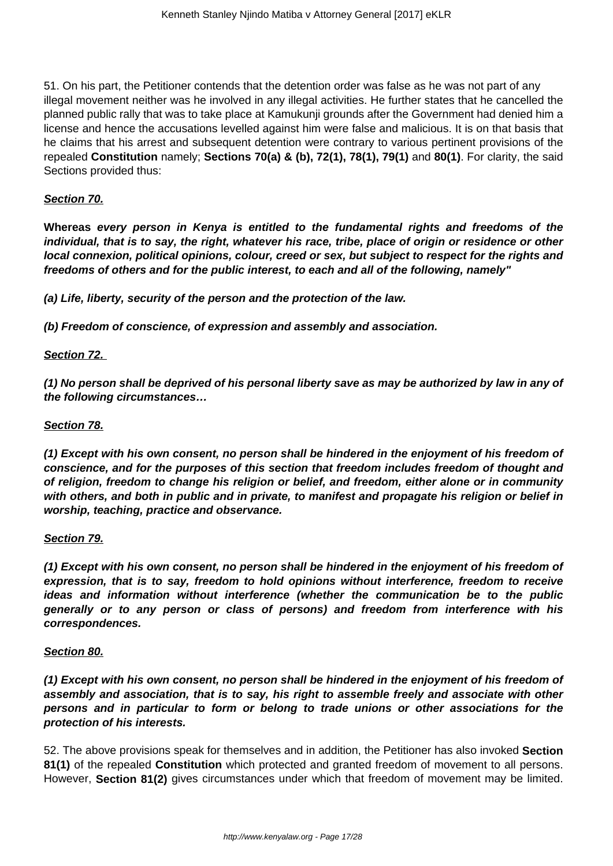51. On his part, the Petitioner contends that the detention order was false as he was not part of any illegal movement neither was he involved in any illegal activities. He further states that he cancelled the planned public rally that was to take place at Kamukunji grounds after the Government had denied him a license and hence the accusations levelled against him were false and malicious. It is on that basis that he claims that his arrest and subsequent detention were contrary to various pertinent provisions of the repealed **Constitution** namely; **Sections 70(a) & (b), 72(1), 78(1), 79(1)** and **80(1)**. For clarity, the said Sections provided thus:

## **Section 70.**

**Whereas every person in Kenya is entitled to the fundamental rights and freedoms of the individual, that is to say, the right, whatever his race, tribe, place of origin or residence or other local connexion, political opinions, colour, creed or sex, but subject to respect for the rights and freedoms of others and for the public interest, to each and all of the following, namely"**

**(a) Life, liberty, security of the person and the protection of the law.**

**(b) Freedom of conscience, of expression and assembly and association.**

### **Section 72.**

**(1) No person shall be deprived of his personal liberty save as may be authorized by law in any of the following circumstances…**

#### **Section 78.**

**(1) Except with his own consent, no person shall be hindered in the enjoyment of his freedom of conscience, and for the purposes of this section that freedom includes freedom of thought and of religion, freedom to change his religion or belief, and freedom, either alone or in community with others, and both in public and in private, to manifest and propagate his religion or belief in worship, teaching, practice and observance.** 

#### **Section 79.**

**(1) Except with his own consent, no person shall be hindered in the enjoyment of his freedom of expression, that is to say, freedom to hold opinions without interference, freedom to receive ideas and information without interference (whether the communication be to the public generally or to any person or class of persons) and freedom from interference with his correspondences.** 

#### **Section 80.**

**(1) Except with his own consent, no person shall be hindered in the enjoyment of his freedom of assembly and association, that is to say, his right to assemble freely and associate with other persons and in particular to form or belong to trade unions or other associations for the protection of his interests.**

52. The above provisions speak for themselves and in addition, the Petitioner has also invoked **Section 81(1)** of the repealed **Constitution** which protected and granted freedom of movement to all persons. However, **Section 81(2)** gives circumstances under which that freedom of movement may be limited.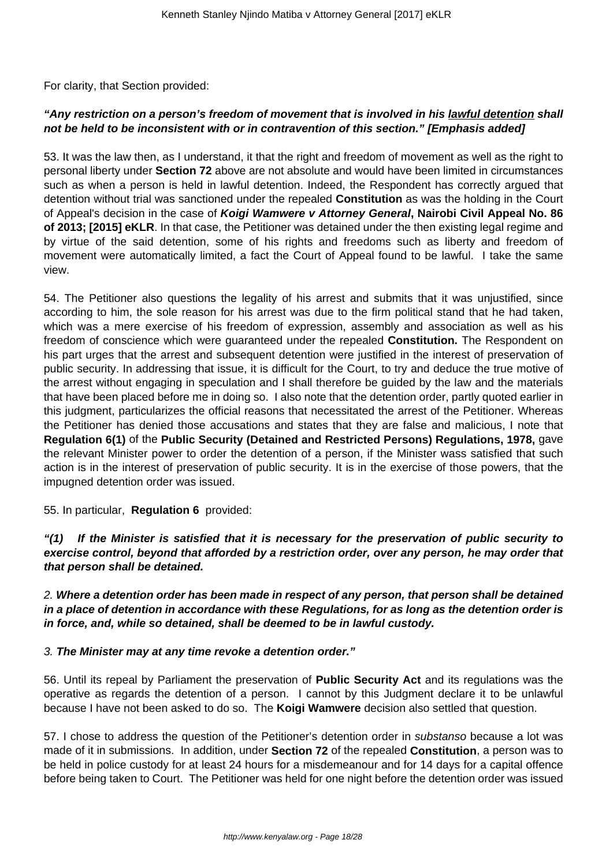For clarity, that Section provided:

# **"Any restriction on a person's freedom of movement that is involved in his lawful detention shall not be held to be inconsistent with or in contravention of this section." [Emphasis added]**

53. It was the law then, as I understand, it that the right and freedom of movement as well as the right to personal liberty under **Section 72** above are not absolute and would have been limited in circumstances such as when a person is held in lawful detention. Indeed, the Respondent has correctly argued that detention without trial was sanctioned under the repealed **Constitution** as was the holding in the Court of Appeal's decision in the case of **Koigi Wamwere v Attorney General, Nairobi Civil Appeal No. 86 of 2013; [2015] eKLR**. In that case, the Petitioner was detained under the then existing legal regime and by virtue of the said detention, some of his rights and freedoms such as liberty and freedom of movement were automatically limited, a fact the Court of Appeal found to be lawful. I take the same view.

54. The Petitioner also questions the legality of his arrest and submits that it was unjustified, since according to him, the sole reason for his arrest was due to the firm political stand that he had taken, which was a mere exercise of his freedom of expression, assembly and association as well as his freedom of conscience which were guaranteed under the repealed **Constitution.** The Respondent on his part urges that the arrest and subsequent detention were justified in the interest of preservation of public security. In addressing that issue, it is difficult for the Court, to try and deduce the true motive of the arrest without engaging in speculation and I shall therefore be guided by the law and the materials that have been placed before me in doing so. I also note that the detention order, partly quoted earlier in this judgment, particularizes the official reasons that necessitated the arrest of the Petitioner. Whereas the Petitioner has denied those accusations and states that they are false and malicious, I note that **Regulation 6(1)** of the **Public Security (Detained and Restricted Persons) Regulations, 1978,** gave the relevant Minister power to order the detention of a person, if the Minister wass satisfied that such action is in the interest of preservation of public security. It is in the exercise of those powers, that the impugned detention order was issued.

55. In particular, **Regulation 6** provided:

**"(1) If the Minister is satisfied that it is necessary for the preservation of public security to exercise control, beyond that afforded by a restriction order, over any person, he may order that that person shall be detained.**

2. **Where a detention order has been made in respect of any person, that person shall be detained in a place of detention in accordance with these Regulations, for as long as the detention order is in force, and, while so detained, shall be deemed to be in lawful custody.**

### 3. **The Minister may at any time revoke a detention order."**

56. Until its repeal by Parliament the preservation of **Public Security Act** and its regulations was the operative as regards the detention of a person. I cannot by this Judgment declare it to be unlawful because I have not been asked to do so. The **Koigi Wamwere** decision also settled that question.

57. I chose to address the question of the Petitioner's detention order in substanso because a lot was made of it in submissions. In addition, under **Section 72** of the repealed **Constitution**, a person was to be held in police custody for at least 24 hours for a misdemeanour and for 14 days for a capital offence before being taken to Court. The Petitioner was held for one night before the detention order was issued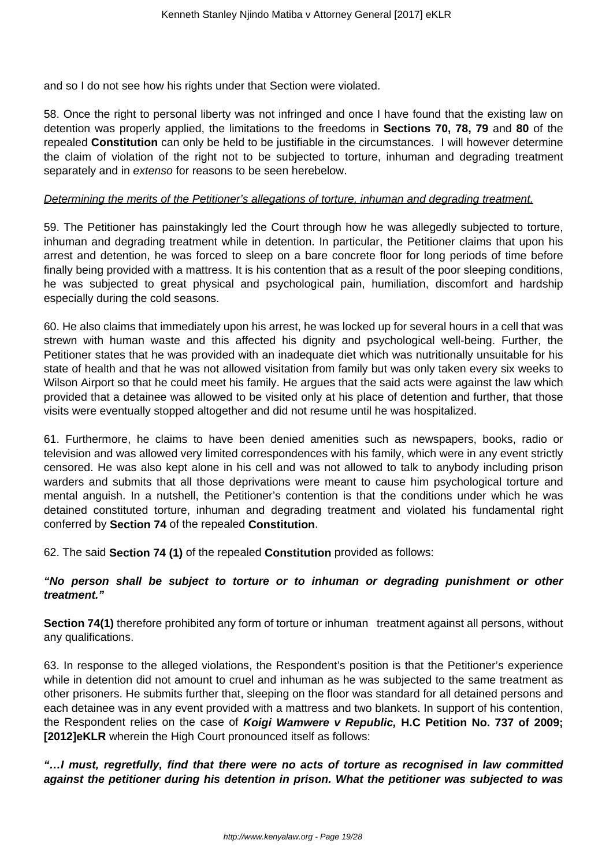and so I do not see how his rights under that Section were violated.

58. Once the right to personal liberty was not infringed and once I have found that the existing law on detention was properly applied, the limitations to the freedoms in **Sections 70, 78, 79** and **80** of the repealed **Constitution** can only be held to be justifiable in the circumstances. I will however determine the claim of violation of the right not to be subjected to torture, inhuman and degrading treatment separately and in extenso for reasons to be seen herebelow.

#### Determining the merits of the Petitioner's allegations of torture, inhuman and degrading treatment.

59. The Petitioner has painstakingly led the Court through how he was allegedly subjected to torture, inhuman and degrading treatment while in detention. In particular, the Petitioner claims that upon his arrest and detention, he was forced to sleep on a bare concrete floor for long periods of time before finally being provided with a mattress. It is his contention that as a result of the poor sleeping conditions, he was subjected to great physical and psychological pain, humiliation, discomfort and hardship especially during the cold seasons.

60. He also claims that immediately upon his arrest, he was locked up for several hours in a cell that was strewn with human waste and this affected his dignity and psychological well-being. Further, the Petitioner states that he was provided with an inadequate diet which was nutritionally unsuitable for his state of health and that he was not allowed visitation from family but was only taken every six weeks to Wilson Airport so that he could meet his family. He argues that the said acts were against the law which provided that a detainee was allowed to be visited only at his place of detention and further, that those visits were eventually stopped altogether and did not resume until he was hospitalized.

61. Furthermore, he claims to have been denied amenities such as newspapers, books, radio or television and was allowed very limited correspondences with his family, which were in any event strictly censored. He was also kept alone in his cell and was not allowed to talk to anybody including prison warders and submits that all those deprivations were meant to cause him psychological torture and mental anguish. In a nutshell, the Petitioner's contention is that the conditions under which he was detained constituted torture, inhuman and degrading treatment and violated his fundamental right conferred by **Section 74** of the repealed **Constitution**.

62. The said **Section 74 (1)** of the repealed **Constitution** provided as follows:

## **"No person shall be subject to torture or to inhuman or degrading punishment or other treatment."**

**Section 74(1)** therefore prohibited any form of torture or inhuman treatment against all persons, without any qualifications.

63. In response to the alleged violations, the Respondent's position is that the Petitioner's experience while in detention did not amount to cruel and inhuman as he was subjected to the same treatment as other prisoners. He submits further that, sleeping on the floor was standard for all detained persons and each detainee was in any event provided with a mattress and two blankets. In support of his contention, the Respondent relies on the case of **Koigi Wamwere v Republic, H.C Petition No. 737 of 2009; [2012]eKLR** wherein the High Court pronounced itself as follows:

**"…I must, regretfully, find that there were no acts of torture as recognised in law committed against the petitioner during his detention in prison. What the petitioner was subjected to was**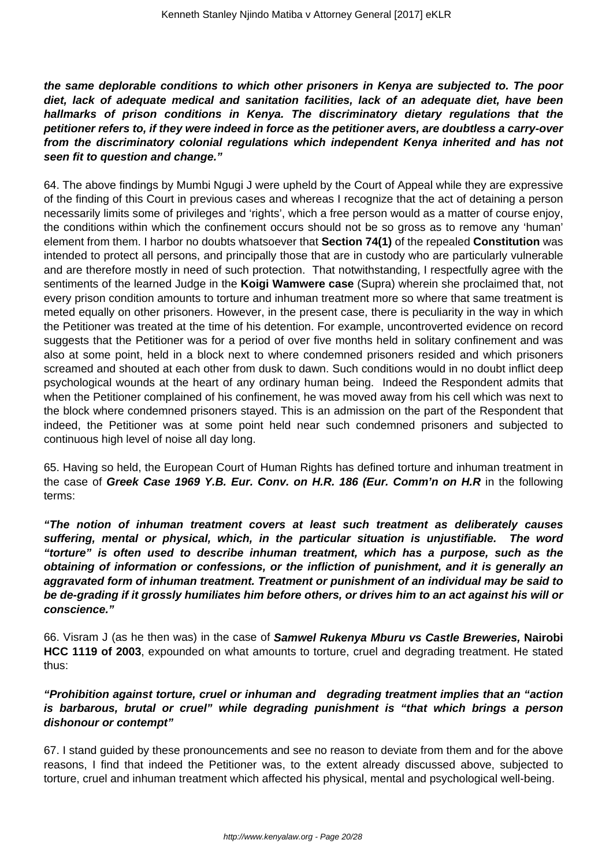**the same deplorable conditions to which other prisoners in Kenya are subjected to. The poor diet, lack of adequate medical and sanitation facilities, lack of an adequate diet, have been hallmarks of prison conditions in Kenya. The discriminatory dietary regulations that the petitioner refers to, if they were indeed in force as the petitioner avers, are doubtless a carry-over from the discriminatory colonial regulations which independent Kenya inherited and has not seen fit to question and change."** 

64. The above findings by Mumbi Ngugi J were upheld by the Court of Appeal while they are expressive of the finding of this Court in previous cases and whereas I recognize that the act of detaining a person necessarily limits some of privileges and 'rights', which a free person would as a matter of course enjoy, the conditions within which the confinement occurs should not be so gross as to remove any 'human' element from them. I harbor no doubts whatsoever that **Section 74(1)** of the repealed **Constitution** was intended to protect all persons, and principally those that are in custody who are particularly vulnerable and are therefore mostly in need of such protection. That notwithstanding, I respectfully agree with the sentiments of the learned Judge in the **Koigi Wamwere case** (Supra) wherein she proclaimed that, not every prison condition amounts to torture and inhuman treatment more so where that same treatment is meted equally on other prisoners. However, in the present case, there is peculiarity in the way in which the Petitioner was treated at the time of his detention. For example, uncontroverted evidence on record suggests that the Petitioner was for a period of over five months held in solitary confinement and was also at some point, held in a block next to where condemned prisoners resided and which prisoners screamed and shouted at each other from dusk to dawn. Such conditions would in no doubt inflict deep psychological wounds at the heart of any ordinary human being. Indeed the Respondent admits that when the Petitioner complained of his confinement, he was moved away from his cell which was next to the block where condemned prisoners stayed. This is an admission on the part of the Respondent that indeed, the Petitioner was at some point held near such condemned prisoners and subjected to continuous high level of noise all day long.

65. Having so held, the European Court of Human Rights has defined torture and inhuman treatment in the case of **Greek Case 1969 Y.B. Eur. Conv. on H.R. 186 (Eur. Comm'n on H.R** in the following terms:

**"The notion of inhuman treatment covers at least such treatment as deliberately causes suffering, mental or physical, which, in the particular situation is unjustifiable. The word "torture" is often used to describe inhuman treatment, which has a purpose, such as the obtaining of information or confessions, or the infliction of punishment, and it is generally an aggravated form of inhuman treatment. Treatment or punishment of an individual may be said to be de-grading if it grossly humiliates him before others, or drives him to an act against his will or conscience."**

66. Visram J (as he then was) in the case of **Samwel Rukenya Mburu vs Castle Breweries, Nairobi HCC 1119 of 2003**, expounded on what amounts to torture, cruel and degrading treatment. He stated thus:

## **"Prohibition against torture, cruel or inhuman and degrading treatment implies that an "action is barbarous, brutal or cruel" while degrading punishment is "that which brings a person dishonour or contempt"**

67. I stand guided by these pronouncements and see no reason to deviate from them and for the above reasons, I find that indeed the Petitioner was, to the extent already discussed above, subjected to torture, cruel and inhuman treatment which affected his physical, mental and psychological well-being.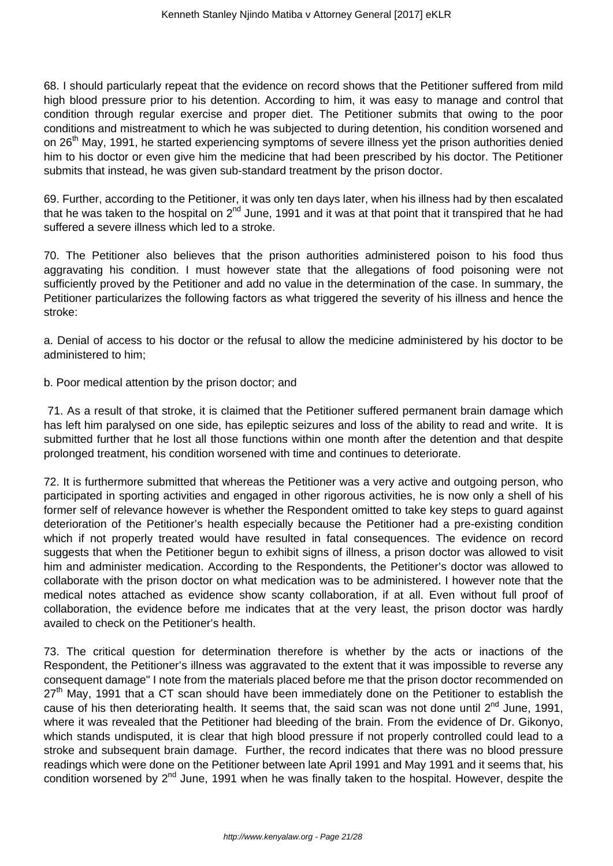68. I should particularly repeat that the evidence on record shows that the Petitioner suffered from mild high blood pressure prior to his detention. According to him, it was easy to manage and control that condition through regular exercise and proper diet. The Petitioner submits that owing to the poor conditions and mistreatment to which he was subjected to during detention, his condition worsened and on 26<sup>th</sup> May, 1991, he started experiencing symptoms of severe illness yet the prison authorities denied him to his doctor or even give him the medicine that had been prescribed by his doctor. The Petitioner submits that instead, he was given sub-standard treatment by the prison doctor.

69. Further, according to the Petitioner, it was only ten days later, when his illness had by then escalated that he was taken to the hospital on  $2^{nd}$  June, 1991 and it was at that point that it transpired that he had suffered a severe illness which led to a stroke.

70. The Petitioner also believes that the prison authorities administered poison to his food thus aggravating his condition. I must however state that the allegations of food poisoning were not sufficiently proved by the Petitioner and add no value in the determination of the case. In summary, the Petitioner particularizes the following factors as what triggered the severity of his illness and hence the stroke:

a. Denial of access to his doctor or the refusal to allow the medicine administered by his doctor to be administered to him;

b. Poor medical attention by the prison doctor; and

71. As a result of that stroke, it is claimed that the Petitioner suffered permanent brain damage which has left him paralysed on one side, has epileptic seizures and loss of the ability to read and write. It is submitted further that he lost all those functions within one month after the detention and that despite prolonged treatment, his condition worsened with time and continues to deteriorate.

72. It is furthermore submitted that whereas the Petitioner was a very active and outgoing person, who participated in sporting activities and engaged in other rigorous activities, he is now only a shell of his former self of relevance however is whether the Respondent omitted to take key steps to guard against deterioration of the Petitioner's health especially because the Petitioner had a pre-existing condition which if not properly treated would have resulted in fatal consequences. The evidence on record suggests that when the Petitioner begun to exhibit signs of illness, a prison doctor was allowed to visit him and administer medication. According to the Respondents, the Petitioner's doctor was allowed to collaborate with the prison doctor on what medication was to be administered. I however note that the medical notes attached as evidence show scanty collaboration, if at all. Even without full proof of collaboration, the evidence before me indicates that at the very least, the prison doctor was hardly availed to check on the Petitioner's health.

73. The critical question for determination therefore is whether by the acts or inactions of the Respondent, the Petitioner's illness was aggravated to the extent that it was impossible to reverse any consequent damage" I note from the materials placed before me that the prison doctor recommended on  $27<sup>th</sup>$  May, 1991 that a CT scan should have been immediately done on the Petitioner to establish the cause of his then deteriorating health. It seems that, the said scan was not done until  $2^{nd}$  June, 1991, where it was revealed that the Petitioner had bleeding of the brain. From the evidence of Dr. Gikonyo, which stands undisputed, it is clear that high blood pressure if not properly controlled could lead to a stroke and subsequent brain damage. Further, the record indicates that there was no blood pressure readings which were done on the Petitioner between late April 1991 and May 1991 and it seems that, his condition worsened by  $2^{nd}$  June, 1991 when he was finally taken to the hospital. However, despite the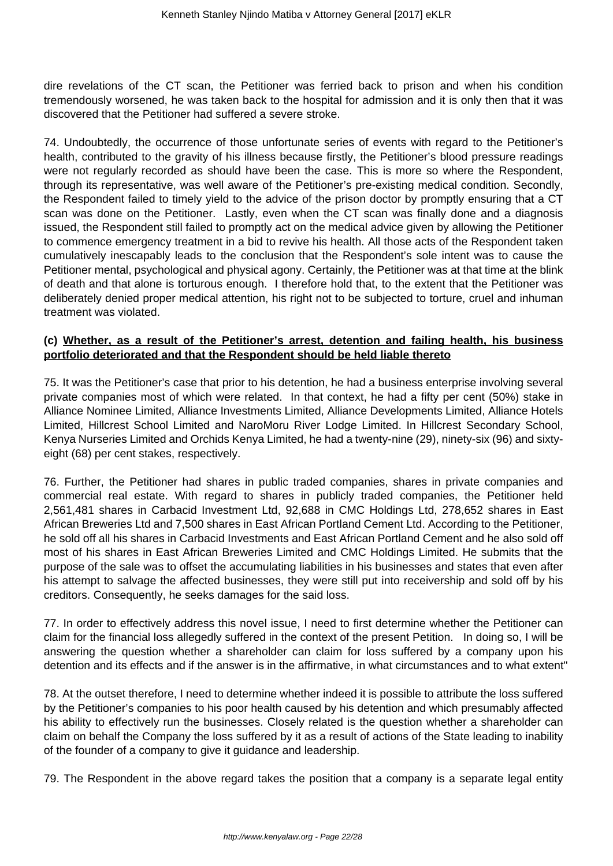dire revelations of the CT scan, the Petitioner was ferried back to prison and when his condition tremendously worsened, he was taken back to the hospital for admission and it is only then that it was discovered that the Petitioner had suffered a severe stroke.

74. Undoubtedly, the occurrence of those unfortunate series of events with regard to the Petitioner's health, contributed to the gravity of his illness because firstly, the Petitioner's blood pressure readings were not regularly recorded as should have been the case. This is more so where the Respondent, through its representative, was well aware of the Petitioner's pre-existing medical condition. Secondly, the Respondent failed to timely yield to the advice of the prison doctor by promptly ensuring that a CT scan was done on the Petitioner. Lastly, even when the CT scan was finally done and a diagnosis issued, the Respondent still failed to promptly act on the medical advice given by allowing the Petitioner to commence emergency treatment in a bid to revive his health. All those acts of the Respondent taken cumulatively inescapably leads to the conclusion that the Respondent's sole intent was to cause the Petitioner mental, psychological and physical agony. Certainly, the Petitioner was at that time at the blink of death and that alone is torturous enough. I therefore hold that, to the extent that the Petitioner was deliberately denied proper medical attention, his right not to be subjected to torture, cruel and inhuman treatment was violated.

## **(c) Whether, as a result of the Petitioner's arrest, detention and failing health, his business portfolio deteriorated and that the Respondent should be held liable thereto**

75. It was the Petitioner's case that prior to his detention, he had a business enterprise involving several private companies most of which were related. In that context, he had a fifty per cent (50%) stake in Alliance Nominee Limited, Alliance Investments Limited, Alliance Developments Limited, Alliance Hotels Limited, Hillcrest School Limited and NaroMoru River Lodge Limited. In Hillcrest Secondary School, Kenya Nurseries Limited and Orchids Kenya Limited, he had a twenty-nine (29), ninety-six (96) and sixtyeight (68) per cent stakes, respectively.

76. Further, the Petitioner had shares in public traded companies, shares in private companies and commercial real estate. With regard to shares in publicly traded companies, the Petitioner held 2,561,481 shares in Carbacid Investment Ltd, 92,688 in CMC Holdings Ltd, 278,652 shares in East African Breweries Ltd and 7,500 shares in East African Portland Cement Ltd. According to the Petitioner, he sold off all his shares in Carbacid Investments and East African Portland Cement and he also sold off most of his shares in East African Breweries Limited and CMC Holdings Limited. He submits that the purpose of the sale was to offset the accumulating liabilities in his businesses and states that even after his attempt to salvage the affected businesses, they were still put into receivership and sold off by his creditors. Consequently, he seeks damages for the said loss.

77. In order to effectively address this novel issue, I need to first determine whether the Petitioner can claim for the financial loss allegedly suffered in the context of the present Petition. In doing so, I will be answering the question whether a shareholder can claim for loss suffered by a company upon his detention and its effects and if the answer is in the affirmative, in what circumstances and to what extent"

78. At the outset therefore, I need to determine whether indeed it is possible to attribute the loss suffered by the Petitioner's companies to his poor health caused by his detention and which presumably affected his ability to effectively run the businesses. Closely related is the question whether a shareholder can claim on behalf the Company the loss suffered by it as a result of actions of the State leading to inability of the founder of a company to give it guidance and leadership.

79. The Respondent in the above regard takes the position that a company is a separate legal entity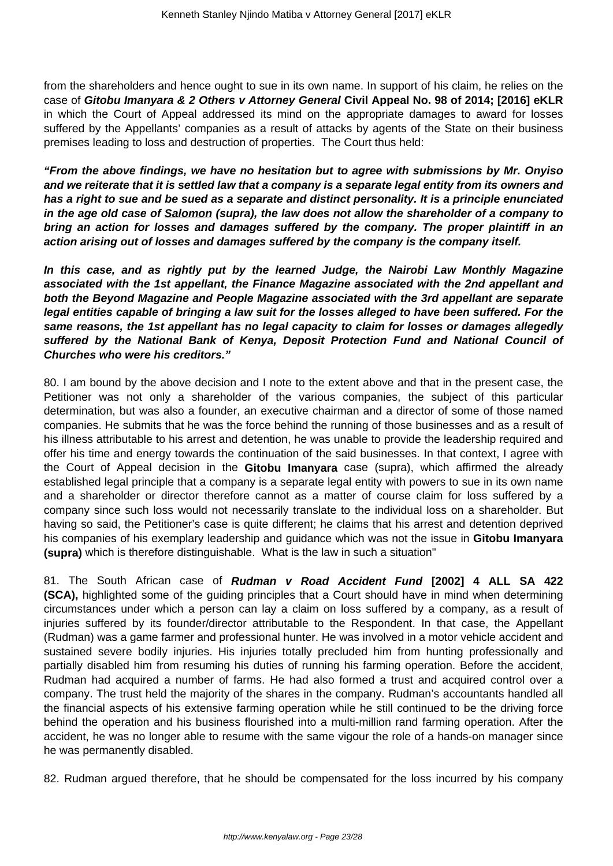from the shareholders and hence ought to sue in its own name. In support of his claim, he relies on the case of **Gitobu Imanyara & 2 Others v Attorney General Civil Appeal No. 98 of 2014; [2016] eKLR** in which the Court of Appeal addressed its mind on the appropriate damages to award for losses suffered by the Appellants' companies as a result of attacks by agents of the State on their business premises leading to loss and destruction of properties. The Court thus held:

**"From the above findings, we have no hesitation but to agree with submissions by Mr. Onyiso and we reiterate that it is settled law that a company is a separate legal entity from its owners and has a right to sue and be sued as a separate and distinct personality. It is a principle enunciated in the age old case of Salomon (supra), the law does not allow the shareholder of a company to bring an action for losses and damages suffered by the company. The proper plaintiff in an action arising out of losses and damages suffered by the company is the company itself.**

**In this case, and as rightly put by the learned Judge, the Nairobi Law Monthly Magazine associated with the 1st appellant, the Finance Magazine associated with the 2nd appellant and both the Beyond Magazine and People Magazine associated with the 3rd appellant are separate legal entities capable of bringing a law suit for the losses alleged to have been suffered. For the same reasons, the 1st appellant has no legal capacity to claim for losses or damages allegedly suffered by the National Bank of Kenya, Deposit Protection Fund and National Council of Churches who were his creditors."**

80. I am bound by the above decision and I note to the extent above and that in the present case, the Petitioner was not only a shareholder of the various companies, the subject of this particular determination, but was also a founder, an executive chairman and a director of some of those named companies. He submits that he was the force behind the running of those businesses and as a result of his illness attributable to his arrest and detention, he was unable to provide the leadership required and offer his time and energy towards the continuation of the said businesses. In that context, I agree with the Court of Appeal decision in the **Gitobu Imanyara** case (supra), which affirmed the already established legal principle that a company is a separate legal entity with powers to sue in its own name and a shareholder or director therefore cannot as a matter of course claim for loss suffered by a company since such loss would not necessarily translate to the individual loss on a shareholder. But having so said, the Petitioner's case is quite different; he claims that his arrest and detention deprived his companies of his exemplary leadership and guidance which was not the issue in **Gitobu Imanyara (supra)** which is therefore distinguishable. What is the law in such a situation"

81. The South African case of **Rudman v Road Accident Fund [2002] 4 ALL SA 422 (SCA),** highlighted some of the guiding principles that a Court should have in mind when determining circumstances under which a person can lay a claim on loss suffered by a company, as a result of injuries suffered by its founder/director attributable to the Respondent. In that case, the Appellant (Rudman) was a game farmer and professional hunter. He was involved in a motor vehicle accident and sustained severe bodily injuries. His injuries totally precluded him from hunting professionally and partially disabled him from resuming his duties of running his farming operation. Before the accident, Rudman had acquired a number of farms. He had also formed a trust and acquired control over a company. The trust held the majority of the shares in the company. Rudman's accountants handled all the financial aspects of his extensive farming operation while he still continued to be the driving force behind the operation and his business flourished into a multi-million rand farming operation. After the accident, he was no longer able to resume with the same vigour the role of a hands-on manager since he was permanently disabled.

82. Rudman argued therefore, that he should be compensated for the loss incurred by his company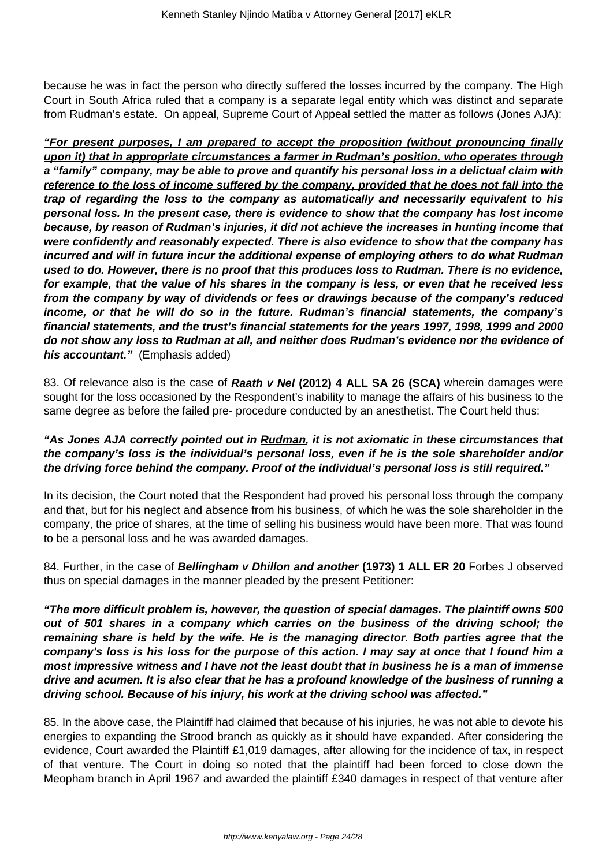because he was in fact the person who directly suffered the losses incurred by the company. The High Court in South Africa ruled that a company is a separate legal entity which was distinct and separate from Rudman's estate. On appeal, Supreme Court of Appeal settled the matter as follows (Jones AJA):

**"For present purposes, I am prepared to accept the proposition (without pronouncing finally upon it) that in appropriate circumstances a farmer in Rudman's position, who operates through a "family" company, may be able to prove and quantify his personal loss in a delictual claim with reference to the loss of income suffered by the company, provided that he does not fall into the trap of regarding the loss to the company as automatically and necessarily equivalent to his personal loss. In the present case, there is evidence to show that the company has lost income because, by reason of Rudman's injuries, it did not achieve the increases in hunting income that were confidently and reasonably expected. There is also evidence to show that the company has incurred and will in future incur the additional expense of employing others to do what Rudman used to do. However, there is no proof that this produces loss to Rudman. There is no evidence, for example, that the value of his shares in the company is less, or even that he received less from the company by way of dividends or fees or drawings because of the company's reduced income, or that he will do so in the future. Rudman's financial statements, the company's financial statements, and the trust's financial statements for the years 1997, 1998, 1999 and 2000 do not show any loss to Rudman at all, and neither does Rudman's evidence nor the evidence of his accountant."** (Emphasis added)

83. Of relevance also is the case of **Raath v Nel (2012) 4 ALL SA 26 (SCA)** wherein damages were sought for the loss occasioned by the Respondent's inability to manage the affairs of his business to the same degree as before the failed pre- procedure conducted by an anesthetist. The Court held thus:

## **"As Jones AJA correctly pointed out in Rudman, it is not axiomatic in these circumstances that the company's loss is the individual's personal loss, even if he is the sole shareholder and/or the driving force behind the company. Proof of the individual's personal loss is still required."**

In its decision, the Court noted that the Respondent had proved his personal loss through the company and that, but for his neglect and absence from his business, of which he was the sole shareholder in the company, the price of shares, at the time of selling his business would have been more. That was found to be a personal loss and he was awarded damages.

84. Further, in the case of **Bellingham v Dhillon and another (1973) 1 ALL ER 20** Forbes J observed thus on special damages in the manner pleaded by the present Petitioner:

**"The more difficult problem is, however, the question of special damages. The plaintiff owns 500 out of 501 shares in a company which carries on the business of the driving school; the remaining share is held by the wife. He is the managing director. Both parties agree that the company's loss is his loss for the purpose of this action. I may say at once that I found him a most impressive witness and I have not the least doubt that in business he is a man of immense drive and acumen. It is also clear that he has a profound knowledge of the business of running a driving school. Because of his injury, his work at the driving school was affected."**

85. In the above case, the Plaintiff had claimed that because of his injuries, he was not able to devote his energies to expanding the Strood branch as quickly as it should have expanded. After considering the evidence, Court awarded the Plaintiff £1,019 damages, after allowing for the incidence of tax, in respect of that venture. The Court in doing so noted that the plaintiff had been forced to close down the Meopham branch in April 1967 and awarded the plaintiff £340 damages in respect of that venture after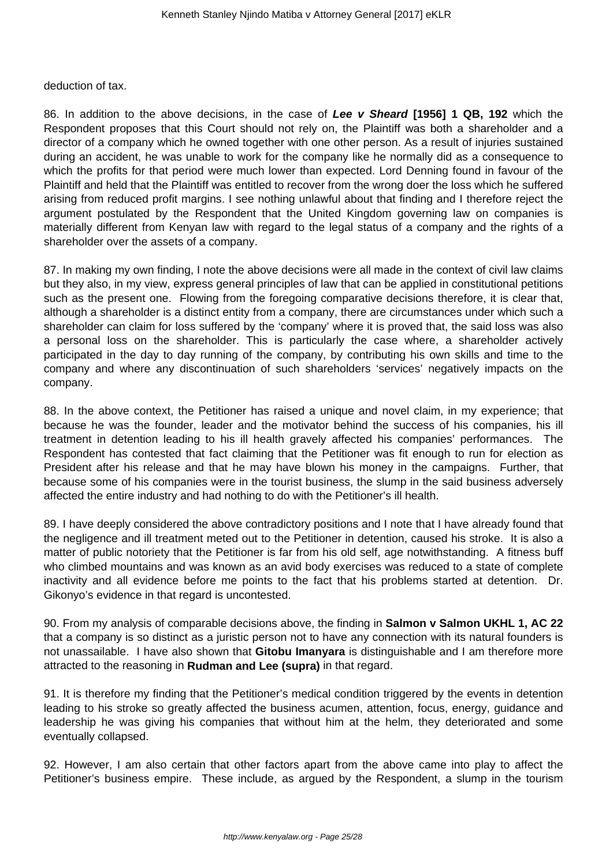deduction of tax.

86. In addition to the above decisions, in the case of **Lee v Sheard [1956] 1 QB, 192** which the Respondent proposes that this Court should not rely on, the Plaintiff was both a shareholder and a director of a company which he owned together with one other person. As a result of injuries sustained during an accident, he was unable to work for the company like he normally did as a consequence to which the profits for that period were much lower than expected. Lord Denning found in favour of the Plaintiff and held that the Plaintiff was entitled to recover from the wrong doer the loss which he suffered arising from reduced profit margins. I see nothing unlawful about that finding and I therefore reject the argument postulated by the Respondent that the United Kingdom governing law on companies is materially different from Kenyan law with regard to the legal status of a company and the rights of a shareholder over the assets of a company.

87. In making my own finding, I note the above decisions were all made in the context of civil law claims but they also, in my view, express general principles of law that can be applied in constitutional petitions such as the present one. Flowing from the foregoing comparative decisions therefore, it is clear that, although a shareholder is a distinct entity from a company, there are circumstances under which such a shareholder can claim for loss suffered by the 'company' where it is proved that, the said loss was also a personal loss on the shareholder. This is particularly the case where, a shareholder actively participated in the day to day running of the company, by contributing his own skills and time to the company and where any discontinuation of such shareholders 'services' negatively impacts on the company.

88. In the above context, the Petitioner has raised a unique and novel claim, in my experience; that because he was the founder, leader and the motivator behind the success of his companies, his ill treatment in detention leading to his ill health gravely affected his companies' performances. The Respondent has contested that fact claiming that the Petitioner was fit enough to run for election as President after his release and that he may have blown his money in the campaigns. Further, that because some of his companies were in the tourist business, the slump in the said business adversely affected the entire industry and had nothing to do with the Petitioner's ill health.

89. I have deeply considered the above contradictory positions and I note that I have already found that the negligence and ill treatment meted out to the Petitioner in detention, caused his stroke. It is also a matter of public notoriety that the Petitioner is far from his old self, age notwithstanding. A fitness buff who climbed mountains and was known as an avid body exercises was reduced to a state of complete inactivity and all evidence before me points to the fact that his problems started at detention. Dr. Gikonyo's evidence in that regard is uncontested.

90. From my analysis of comparable decisions above, the finding in **Salmon v Salmon UKHL 1, AC 22** that a company is so distinct as a juristic person not to have any connection with its natural founders is not unassailable. I have also shown that **Gitobu Imanyara** is distinguishable and I am therefore more attracted to the reasoning in **Rudman and Lee (supra)** in that regard.

91. It is therefore my finding that the Petitioner's medical condition triggered by the events in detention leading to his stroke so greatly affected the business acumen, attention, focus, energy, guidance and leadership he was giving his companies that without him at the helm, they deteriorated and some eventually collapsed.

92. However, I am also certain that other factors apart from the above came into play to affect the Petitioner's business empire. These include, as argued by the Respondent, a slump in the tourism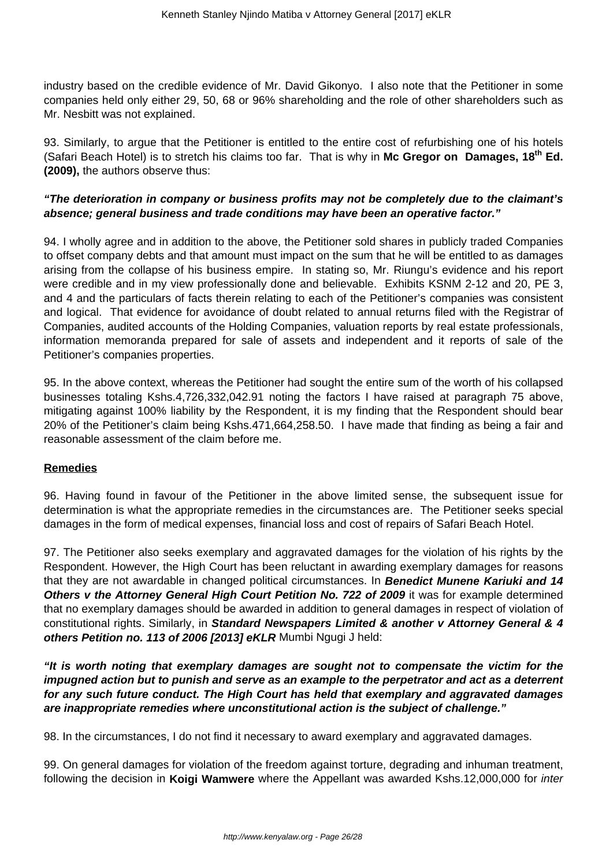industry based on the credible evidence of Mr. David Gikonyo. I also note that the Petitioner in some companies held only either 29, 50, 68 or 96% shareholding and the role of other shareholders such as Mr. Nesbitt was not explained.

93. Similarly, to argue that the Petitioner is entitled to the entire cost of refurbishing one of his hotels (Safari Beach Hotel) is to stretch his claims too far. That is why in **Mc Gregor on Damages, 18th Ed. (2009),** the authors observe thus:

# **"The deterioration in company or business profits may not be completely due to the claimant's absence; general business and trade conditions may have been an operative factor."**

94. I wholly agree and in addition to the above, the Petitioner sold shares in publicly traded Companies to offset company debts and that amount must impact on the sum that he will be entitled to as damages arising from the collapse of his business empire. In stating so, Mr. Riungu's evidence and his report were credible and in my view professionally done and believable. Exhibits KSNM 2-12 and 20, PE 3, and 4 and the particulars of facts therein relating to each of the Petitioner's companies was consistent and logical. That evidence for avoidance of doubt related to annual returns filed with the Registrar of Companies, audited accounts of the Holding Companies, valuation reports by real estate professionals, information memoranda prepared for sale of assets and independent and it reports of sale of the Petitioner's companies properties.

95. In the above context, whereas the Petitioner had sought the entire sum of the worth of his collapsed businesses totaling Kshs.4,726,332,042.91 noting the factors I have raised at paragraph 75 above, mitigating against 100% liability by the Respondent, it is my finding that the Respondent should bear 20% of the Petitioner's claim being Kshs.471,664,258.50. I have made that finding as being a fair and reasonable assessment of the claim before me.

### **Remedies**

96. Having found in favour of the Petitioner in the above limited sense, the subsequent issue for determination is what the appropriate remedies in the circumstances are. The Petitioner seeks special damages in the form of medical expenses, financial loss and cost of repairs of Safari Beach Hotel.

97. The Petitioner also seeks exemplary and aggravated damages for the violation of his rights by the Respondent. However, the High Court has been reluctant in awarding exemplary damages for reasons that they are not awardable in changed political circumstances. In **Benedict Munene Kariuki and 14 Others v the Attorney General High Court Petition No. 722 of 2009** it was for example determined that no exemplary damages should be awarded in addition to general damages in respect of violation of constitutional rights. Similarly, in **Standard Newspapers Limited & another v Attorney General & 4 others Petition no. 113 of 2006 [2013] eKLR** Mumbi Ngugi J held:

**"It is worth noting that exemplary damages are sought not to compensate the victim for the impugned action but to punish and serve as an example to the perpetrator and act as a deterrent for any such future conduct. The High Court has held that exemplary and aggravated damages are inappropriate remedies where unconstitutional action is the subject of challenge."**

98. In the circumstances, I do not find it necessary to award exemplary and aggravated damages.

99. On general damages for violation of the freedom against torture, degrading and inhuman treatment, following the decision in **Koigi Wamwere** where the Appellant was awarded Kshs.12,000,000 for inter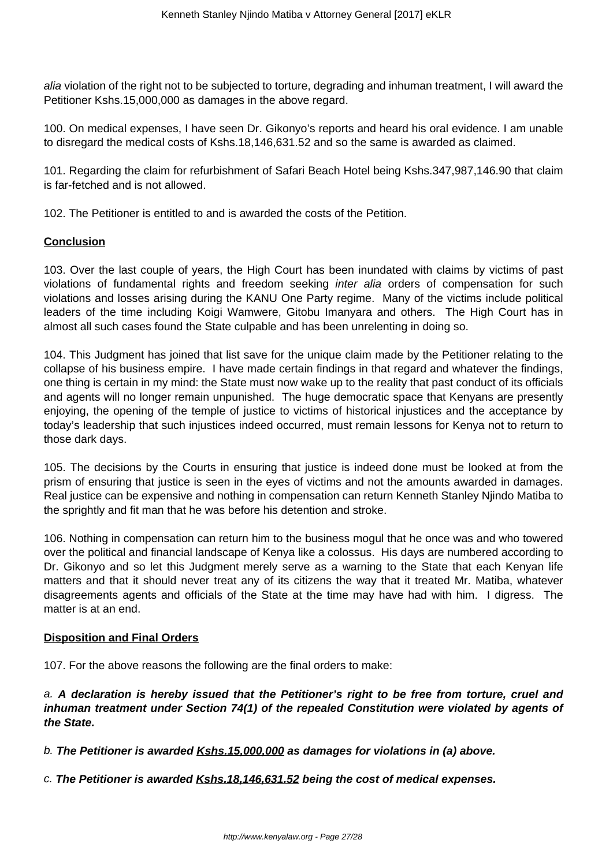alia violation of the right not to be subjected to torture, degrading and inhuman treatment. I will award the Petitioner Kshs.15,000,000 as damages in the above regard.

100. On medical expenses, I have seen Dr. Gikonyo's reports and heard his oral evidence. I am unable to disregard the medical costs of Kshs.18,146,631.52 and so the same is awarded as claimed.

101. Regarding the claim for refurbishment of Safari Beach Hotel being Kshs.347,987,146.90 that claim is far-fetched and is not allowed.

102. The Petitioner is entitled to and is awarded the costs of the Petition.

### **Conclusion**

103. Over the last couple of years, the High Court has been inundated with claims by victims of past violations of fundamental rights and freedom seeking inter alia orders of compensation for such violations and losses arising during the KANU One Party regime. Many of the victims include political leaders of the time including Koigi Wamwere, Gitobu Imanyara and others. The High Court has in almost all such cases found the State culpable and has been unrelenting in doing so.

104. This Judgment has joined that list save for the unique claim made by the Petitioner relating to the collapse of his business empire. I have made certain findings in that regard and whatever the findings, one thing is certain in my mind: the State must now wake up to the reality that past conduct of its officials and agents will no longer remain unpunished. The huge democratic space that Kenyans are presently enjoying, the opening of the temple of justice to victims of historical injustices and the acceptance by today's leadership that such injustices indeed occurred, must remain lessons for Kenya not to return to those dark days.

105. The decisions by the Courts in ensuring that justice is indeed done must be looked at from the prism of ensuring that justice is seen in the eyes of victims and not the amounts awarded in damages. Real justice can be expensive and nothing in compensation can return Kenneth Stanley Njindo Matiba to the sprightly and fit man that he was before his detention and stroke.

106. Nothing in compensation can return him to the business mogul that he once was and who towered over the political and financial landscape of Kenya like a colossus. His days are numbered according to Dr. Gikonyo and so let this Judgment merely serve as a warning to the State that each Kenyan life matters and that it should never treat any of its citizens the way that it treated Mr. Matiba, whatever disagreements agents and officials of the State at the time may have had with him. I digress. The matter is at an end.

#### **Disposition and Final Orders**

107. For the above reasons the following are the final orders to make:

a. **A declaration is hereby issued that the Petitioner's right to be free from torture, cruel and inhuman treatment under Section 74(1) of the repealed Constitution were violated by agents of the State.**

b. **The Petitioner is awarded Kshs.15,000,000 as damages for violations in (a) above.** 

c. **The Petitioner is awarded Kshs.18,146,631.52 being the cost of medical expenses.**